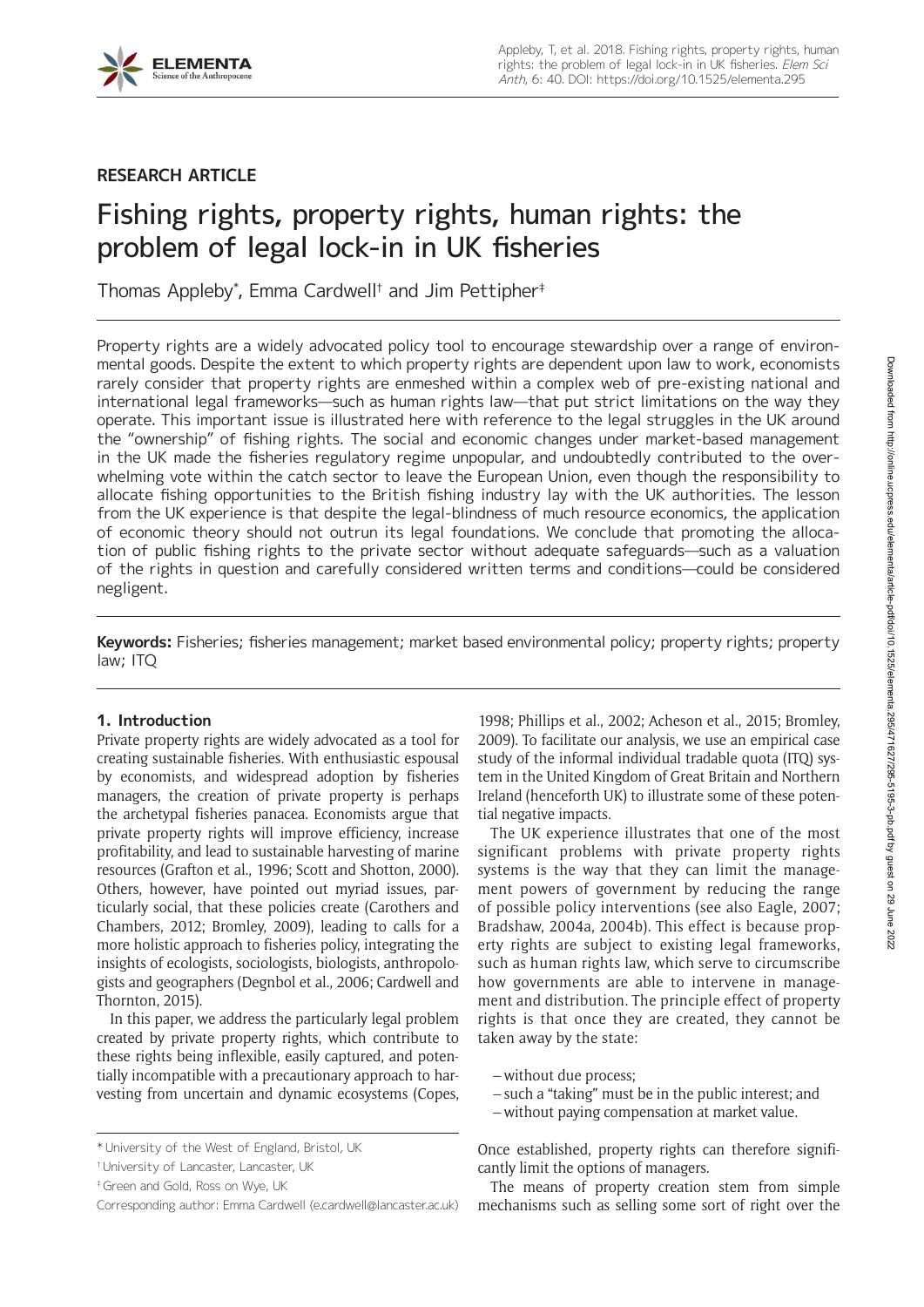

# **RESEARCH ARTICLE**

# Fishing rights, property rights, human rights: the problem of legal lock-in in UK fisheries

Thomas Appleby\* , Emma Cardwell† and Jim Pettipher‡

Property rights are a widely advocated policy tool to encourage stewardship over a range of environmental goods. Despite the extent to which property rights are dependent upon law to work, economists rarely consider that property rights are enmeshed within a complex web of pre-existing national and international legal frameworks—such as human rights law—that put strict limitations on the way they operate. This important issue is illustrated here with reference to the legal struggles in the UK around the "ownership" of fishing rights. The social and economic changes under market-based management in the UK made the fisheries regulatory regime unpopular, and undoubtedly contributed to the overwhelming vote within the catch sector to leave the European Union, even though the responsibility to allocate fishing opportunities to the British fishing industry lay with the UK authorities. The lesson from the UK experience is that despite the legal-blindness of much resource economics, the application of economic theory should not outrun its legal foundations. We conclude that promoting the allocation of public fishing rights to the private sector without adequate safeguards—such as a valuation of the rights in question and carefully considered written terms and conditions—could be considered negligent.

**Keywords:** Fisheries; fisheries management; market based environmental policy; property rights; property law; ITQ

# **1. Introduction**

Private property rights are widely advocated as a tool for creating sustainable fisheries. With enthusiastic espousal by economists, and widespread adoption by fisheries managers, the creation of private property is perhaps the archetypal fisheries panacea. Economists argue that private property rights will improve efficiency, increase profitability, and lead to sustainable harvesting of marine resources (Grafton et al., 1996; Scott and Shotton, 2000). Others, however, have pointed out myriad issues, particularly social, that these policies create (Carothers and Chambers, 2012; Bromley, 2009), leading to calls for a more holistic approach to fisheries policy, integrating the insights of ecologists, sociologists, biologists, anthropologists and geographers (Degnbol et al., 2006; Cardwell and Thornton, 2015).

In this paper, we address the particularly legal problem created by private property rights, which contribute to these rights being inflexible, easily captured, and potentially incompatible with a precautionary approach to harvesting from uncertain and dynamic ecosystems (Copes,

1998; Phillips et al., 2002; Acheson et al., 2015; Bromley, 2009). To facilitate our analysis, we use an empirical case study of the informal individual tradable quota (ITQ) system in the United Kingdom of Great Britain and Northern Ireland (henceforth UK) to illustrate some of these potential negative impacts.

The UK experience illustrates that one of the most significant problems with private property rights systems is the way that they can limit the management powers of government by reducing the range of possible policy interventions (see also Eagle, 2007; Bradshaw, 2004a, 2004b). This effect is because property rights are subject to existing legal frameworks, such as human rights law, which serve to circumscribe how governments are able to intervene in management and distribution. The principle effect of property rights is that once they are created, they cannot be taken away by the state:

- –without due process;
- such a "taking" must be in the public interest; and
- –without paying compensation at market value.

Once established, property rights can therefore significantly limit the options of managers.

The means of property creation stem from simple mechanisms such as selling some sort of right over the

<sup>\*</sup>University of the West of England, Bristol, UK

<sup>†</sup> University of Lancaster, Lancaster, UK

<sup>‡</sup> Green and Gold, Ross on Wye, UK

Corresponding author: Emma Cardwell [\(e.cardwell@lancaster.ac.uk\)](mailto:e.cardwell@lancaster.ac.uk)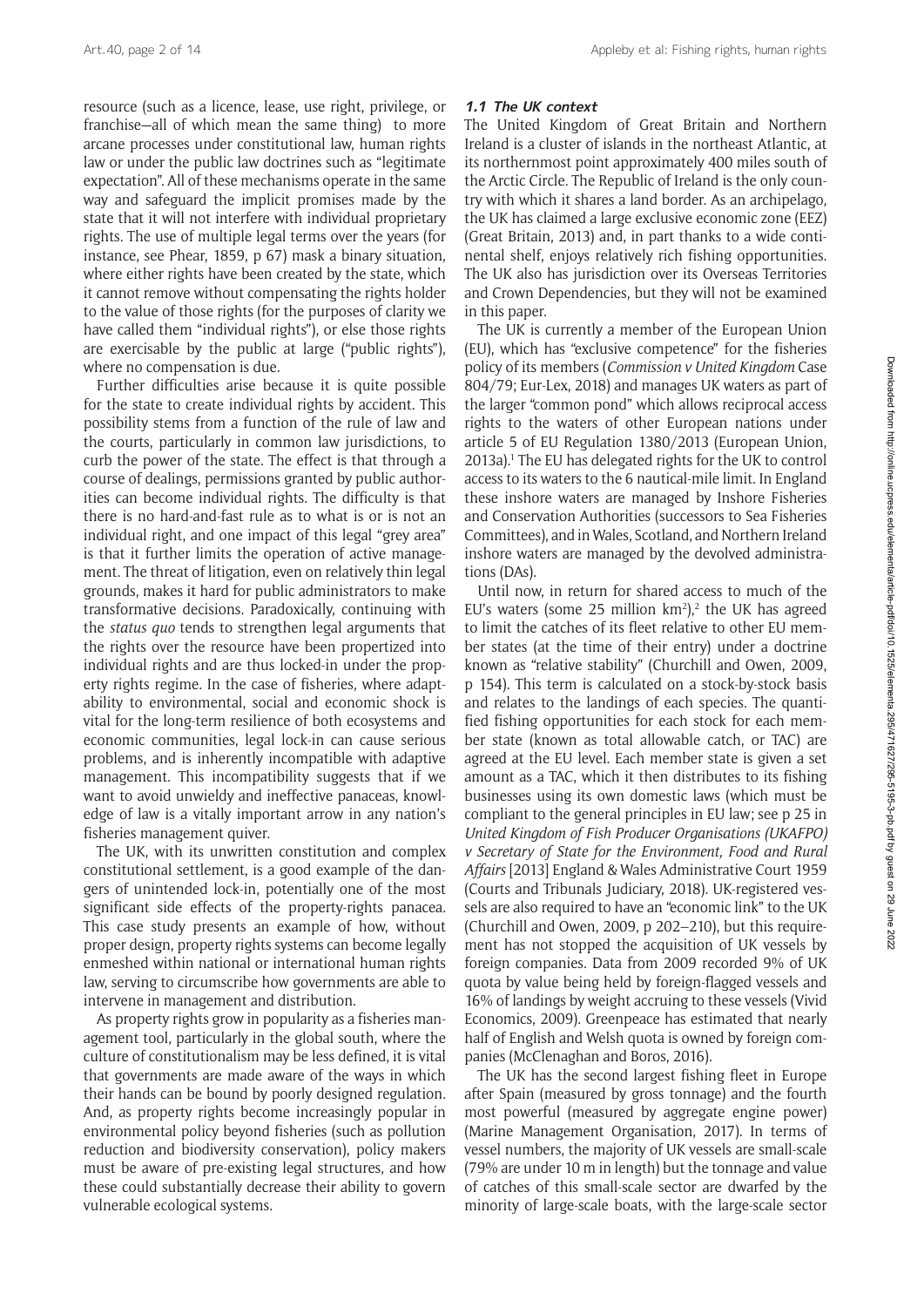resource (such as a licence, lease, use right, privilege, or franchise—all of which mean the same thing) to more arcane processes under constitutional law, human rights law or under the public law doctrines such as "legitimate expectation". All of these mechanisms operate in the same way and safeguard the implicit promises made by the state that it will not interfere with individual proprietary rights. The use of multiple legal terms over the years (for instance, see Phear, 1859, p 67) mask a binary situation, where either rights have been created by the state, which it cannot remove without compensating the rights holder to the value of those rights (for the purposes of clarity we have called them "individual rights"), or else those rights are exercisable by the public at large ("public rights"), where no compensation is due.

Further difficulties arise because it is quite possible for the state to create individual rights by accident. This possibility stems from a function of the rule of law and the courts, particularly in common law jurisdictions, to curb the power of the state. The effect is that through a course of dealings, permissions granted by public authorities can become individual rights. The difficulty is that there is no hard-and-fast rule as to what is or is not an individual right, and one impact of this legal "grey area" is that it further limits the operation of active management. The threat of litigation, even on relatively thin legal grounds, makes it hard for public administrators to make transformative decisions. Paradoxically, continuing with the *status quo* tends to strengthen legal arguments that the rights over the resource have been propertized into individual rights and are thus locked-in under the property rights regime. In the case of fisheries, where adaptability to environmental, social and economic shock is vital for the long-term resilience of both ecosystems and economic communities, legal lock-in can cause serious problems, and is inherently incompatible with adaptive management. This incompatibility suggests that if we want to avoid unwieldy and ineffective panaceas, knowledge of law is a vitally important arrow in any nation's fisheries management quiver.

The UK, with its unwritten constitution and complex constitutional settlement, is a good example of the dangers of unintended lock-in, potentially one of the most significant side effects of the property-rights panacea. This case study presents an example of how, without proper design, property rights systems can become legally enmeshed within national or international human rights law, serving to circumscribe how governments are able to intervene in management and distribution.

As property rights grow in popularity as a fisheries management tool, particularly in the global south, where the culture of constitutionalism may be less defined, it is vital that governments are made aware of the ways in which their hands can be bound by poorly designed regulation. And, as property rights become increasingly popular in environmental policy beyond fisheries (such as pollution reduction and biodiversity conservation), policy makers must be aware of pre-existing legal structures, and how these could substantially decrease their ability to govern vulnerable ecological systems.

#### **1.1 The UK context**

The United Kingdom of Great Britain and Northern Ireland is a cluster of islands in the northeast Atlantic, at its northernmost point approximately 400 miles south of the Arctic Circle. The Republic of Ireland is the only country with which it shares a land border. As an archipelago, the UK has claimed a large exclusive economic zone (EEZ) (Great Britain, 2013) and, in part thanks to a wide continental shelf, enjoys relatively rich fishing opportunities. The UK also has jurisdiction over its Overseas Territories and Crown Dependencies, but they will not be examined in this paper.

The UK is currently a member of the European Union (EU), which has "exclusive competence" for the fisheries policy of its members (*Commission v United Kingdom* Case 804/79; Eur-Lex, 2018) and manages UK waters as part of the larger "common pond" which allows reciprocal access rights to the waters of other European nations under article 5 of EU Regulation 1380/2013 (European Union, 2013a).1 The EU has delegated rights for the UK to control access to its waters to the 6 nautical-mile limit. In England these inshore waters are managed by Inshore Fisheries and Conservation Authorities (successors to Sea Fisheries Committees), and in Wales, Scotland, and Northern Ireland inshore waters are managed by the devolved administrations (DAs).

Until now, in return for shared access to much of the EU's waters (some 25 million  $km^2$ ),<sup>2</sup> the UK has agreed to limit the catches of its fleet relative to other EU member states (at the time of their entry) under a doctrine known as "relative stability" (Churchill and Owen, 2009, p 154). This term is calculated on a stock-by-stock basis and relates to the landings of each species. The quantified fishing opportunities for each stock for each member state (known as total allowable catch, or TAC) are agreed at the EU level. Each member state is given a set amount as a TAC, which it then distributes to its fishing businesses using its own domestic laws (which must be compliant to the general principles in EU law; see p 25 in *United Kingdom of Fish Producer Organisations (UKAFPO) v Secretary of State for the Environment, Food and Rural Affairs* [2013] England & Wales Administrative Court 1959 (Courts and Tribunals Judiciary, 2018). UK-registered vessels are also required to have an "economic link" to the UK (Churchill and Owen, 2009, p 202–210), but this requirement has not stopped the acquisition of UK vessels by foreign companies. Data from 2009 recorded 9% of UK quota by value being held by foreign-flagged vessels and 16% of landings by weight accruing to these vessels (Vivid Economics, 2009). Greenpeace has estimated that nearly half of English and Welsh quota is owned by foreign companies (McClenaghan and Boros, 2016).

The UK has the second largest fishing fleet in Europe after Spain (measured by gross tonnage) and the fourth most powerful (measured by aggregate engine power) (Marine Management Organisation, 2017). In terms of vessel numbers, the majority of UK vessels are small-scale (79% are under 10 m in length) but the tonnage and value of catches of this small-scale sector are dwarfed by the minority of large-scale boats, with the large-scale sector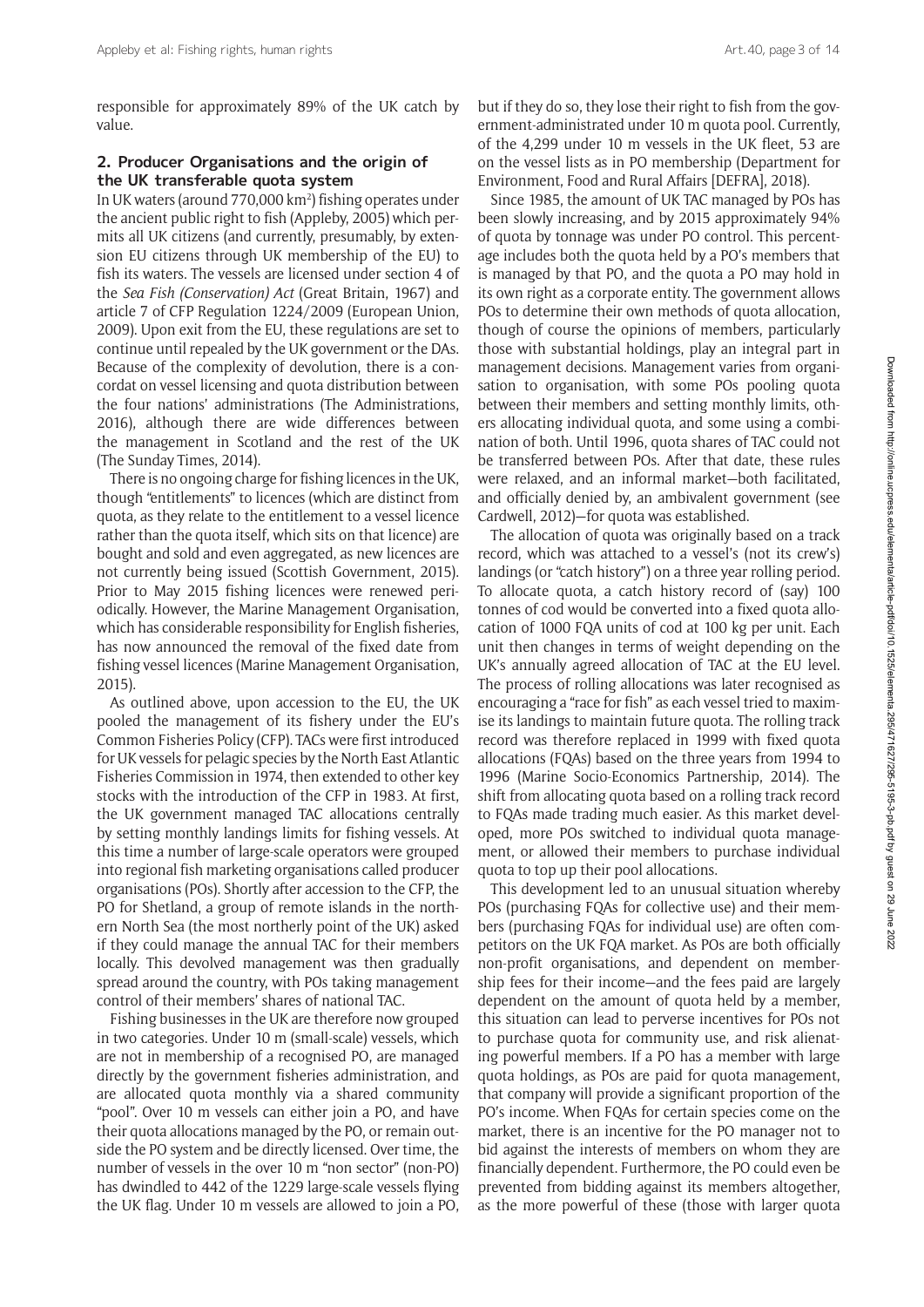# **2. Producer Organisations and the origin of the UK transferable quota system**

In UK waters (around 770,000 km<sup>2</sup>) fishing operates under the ancient public right to fish (Appleby, 2005) which permits all UK citizens (and currently, presumably, by extension EU citizens through UK membership of the EU) to fish its waters. The vessels are licensed under section 4 of the *Sea Fish (Conservation) Act* (Great Britain, 1967) and article 7 of CFP Regulation 1224/2009 (European Union, 2009). Upon exit from the EU, these regulations are set to continue until repealed by the UK government or the DAs. Because of the complexity of devolution, there is a concordat on vessel licensing and quota distribution between the four nations' administrations (The Administrations, 2016), although there are wide differences between the management in Scotland and the rest of the UK (The Sunday Times, 2014).

There is no ongoing charge for fishing licences in the UK, though "entitlements" to licences (which are distinct from quota, as they relate to the entitlement to a vessel licence rather than the quota itself, which sits on that licence) are bought and sold and even aggregated, as new licences are not currently being issued (Scottish Government, 2015). Prior to May 2015 fishing licences were renewed periodically. However, the Marine Management Organisation, which has considerable responsibility for English fisheries, has now announced the removal of the fixed date from fishing vessel licences (Marine Management Organisation, 2015).

As outlined above, upon accession to the EU, the UK pooled the management of its fishery under the EU's Common Fisheries Policy (CFP). TACs were first introduced for UK vessels for pelagic species by the North East Atlantic Fisheries Commission in 1974, then extended to other key stocks with the introduction of the CFP in 1983. At first, the UK government managed TAC allocations centrally by setting monthly landings limits for fishing vessels. At this time a number of large-scale operators were grouped into regional fish marketing organisations called producer organisations (POs). Shortly after accession to the CFP, the PO for Shetland, a group of remote islands in the northern North Sea (the most northerly point of the UK) asked if they could manage the annual TAC for their members locally. This devolved management was then gradually spread around the country, with POs taking management control of their members' shares of national TAC.

Fishing businesses in the UK are therefore now grouped in two categories. Under 10 m (small-scale) vessels, which are not in membership of a recognised PO, are managed directly by the government fisheries administration, and are allocated quota monthly via a shared community "pool". Over 10 m vessels can either join a PO, and have their quota allocations managed by the PO, or remain outside the PO system and be directly licensed. Over time, the number of vessels in the over 10 m "non sector" (non-PO) has dwindled to 442 of the 1229 large-scale vessels flying the UK flag. Under 10 m vessels are allowed to join a PO, but if they do so, they lose their right to fish from the government-administrated under 10 m quota pool. Currently, of the 4,299 under 10 m vessels in the UK fleet, 53 are on the vessel lists as in PO membership (Department for Environment, Food and Rural Affairs [DEFRA], 2018).

Since 1985, the amount of UK TAC managed by POs has been slowly increasing, and by 2015 approximately 94% of quota by tonnage was under PO control. This percentage includes both the quota held by a PO's members that is managed by that PO, and the quota a PO may hold in its own right as a corporate entity. The government allows POs to determine their own methods of quota allocation, though of course the opinions of members, particularly those with substantial holdings, play an integral part in management decisions. Management varies from organisation to organisation, with some POs pooling quota between their members and setting monthly limits, others allocating individual quota, and some using a combination of both. Until 1996, quota shares of TAC could not be transferred between POs. After that date, these rules were relaxed, and an informal market—both facilitated, and officially denied by, an ambivalent government (see Cardwell, 2012)—for quota was established.

The allocation of quota was originally based on a track record, which was attached to a vessel's (not its crew's) landings (or "catch history") on a three year rolling period. To allocate quota, a catch history record of (say) 100 tonnes of cod would be converted into a fixed quota allocation of 1000 FQA units of cod at 100 kg per unit. Each unit then changes in terms of weight depending on the UK's annually agreed allocation of TAC at the EU level. The process of rolling allocations was later recognised as encouraging a "race for fish" as each vessel tried to maximise its landings to maintain future quota. The rolling track record was therefore replaced in 1999 with fixed quota allocations (FQAs) based on the three years from 1994 to 1996 (Marine Socio-Economics Partnership, 2014). The shift from allocating quota based on a rolling track record to FQAs made trading much easier. As this market developed, more POs switched to individual quota management, or allowed their members to purchase individual quota to top up their pool allocations.

This development led to an unusual situation whereby POs (purchasing FQAs for collective use) and their members (purchasing FQAs for individual use) are often competitors on the UK FQA market. As POs are both officially non-profit organisations, and dependent on membership fees for their income—and the fees paid are largely dependent on the amount of quota held by a member, this situation can lead to perverse incentives for POs not to purchase quota for community use, and risk alienating powerful members. If a PO has a member with large quota holdings, as POs are paid for quota management, that company will provide a significant proportion of the PO's income. When FQAs for certain species come on the market, there is an incentive for the PO manager not to bid against the interests of members on whom they are financially dependent. Furthermore, the PO could even be prevented from bidding against its members altogether, as the more powerful of these (those with larger quota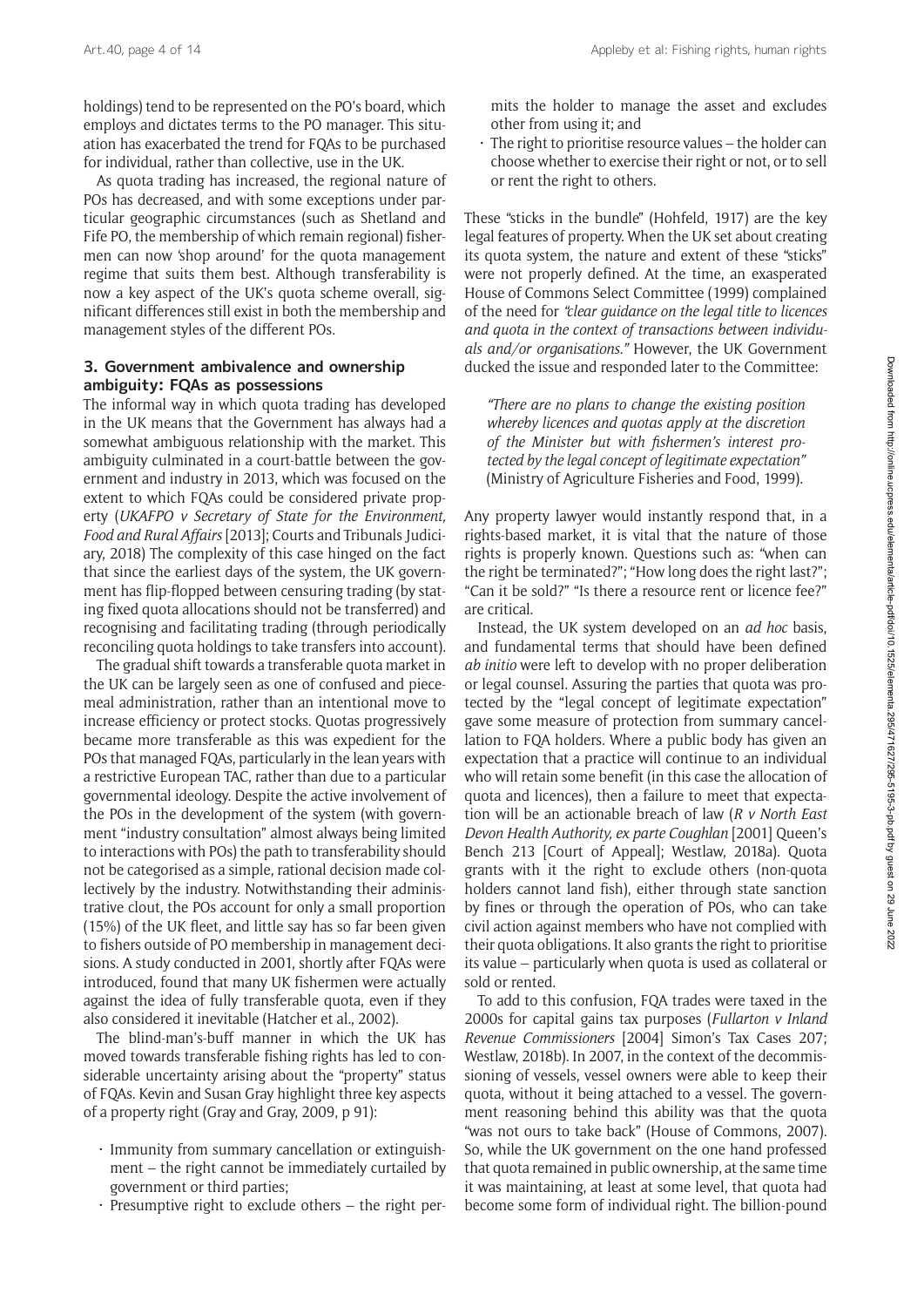holdings) tend to be represented on the PO's board, which employs and dictates terms to the PO manager. This situation has exacerbated the trend for FQAs to be purchased for individual, rather than collective, use in the UK.

As quota trading has increased, the regional nature of POs has decreased, and with some exceptions under particular geographic circumstances (such as Shetland and Fife PO, the membership of which remain regional) fishermen can now 'shop around' for the quota management regime that suits them best. Although transferability is now a key aspect of the UK's quota scheme overall, significant differences still exist in both the membership and management styles of the different POs.

#### **3. Government ambivalence and ownership ambiguity: FQAs as possessions**

The informal way in which quota trading has developed in the UK means that the Government has always had a somewhat ambiguous relationship with the market. This ambiguity culminated in a court-battle between the government and industry in 2013, which was focused on the extent to which FQAs could be considered private property (*UKAFPO v Secretary of State for the Environment, Food and Rural Affairs* [2013]; Courts and Tribunals Judiciary, 2018) The complexity of this case hinged on the fact that since the earliest days of the system, the UK government has flip-flopped between censuring trading (by stating fixed quota allocations should not be transferred) and recognising and facilitating trading (through periodically reconciling quota holdings to take transfers into account).

The gradual shift towards a transferable quota market in the UK can be largely seen as one of confused and piecemeal administration, rather than an intentional move to increase efficiency or protect stocks. Quotas progressively became more transferable as this was expedient for the POs that managed FQAs, particularly in the lean years with a restrictive European TAC, rather than due to a particular governmental ideology. Despite the active involvement of the POs in the development of the system (with government "industry consultation" almost always being limited to interactions with POs) the path to transferability should not be categorised as a simple, rational decision made collectively by the industry. Notwithstanding their administrative clout, the POs account for only a small proportion (15%) of the UK fleet, and little say has so far been given to fishers outside of PO membership in management decisions. A study conducted in 2001, shortly after FQAs were introduced, found that many UK fishermen were actually against the idea of fully transferable quota, even if they also considered it inevitable (Hatcher et al*.*, 2002).

The blind-man's-buff manner in which the UK has moved towards transferable fishing rights has led to considerable uncertainty arising about the "property" status of FQAs. Kevin and Susan Gray highlight three key aspects of a property right (Gray and Gray, 2009, p 91):

- Immunity from summary cancellation or extinguishment – the right cannot be immediately curtailed by government or third parties;
- Presumptive right to exclude others the right per-

mits the holder to manage the asset and excludes other from using it; and

The right to prioritise resource values – the holder can choose whether to exercise their right or not, or to sell or rent the right to others.

These "sticks in the bundle" (Hohfeld, 1917) are the key legal features of property. When the UK set about creating its quota system, the nature and extent of these "sticks" were not properly defined. At the time, an exasperated House of Commons Select Committee (1999) complained of the need for *"clear guidance on the legal title to licences and quota in the context of transactions between individuals and/or organisations."* However, the UK Government ducked the issue and responded later to the Committee:

*"There are no plans to change the existing position whereby licences and quotas apply at the discretion of the Minister but with fishermen's interest protected by the legal concept of legitimate expectation"*  (Ministry of Agriculture Fisheries and Food, 1999).

Any property lawyer would instantly respond that, in a rights-based market, it is vital that the nature of those rights is properly known. Questions such as: "when can the right be terminated?"; "How long does the right last?"; "Can it be sold?" "Is there a resource rent or licence fee?" are critical.

Instead, the UK system developed on an *ad hoc* basis, and fundamental terms that should have been defined *ab initio* were left to develop with no proper deliberation or legal counsel. Assuring the parties that quota was protected by the "legal concept of legitimate expectation" gave some measure of protection from summary cancellation to FQA holders. Where a public body has given an expectation that a practice will continue to an individual who will retain some benefit (in this case the allocation of quota and licences), then a failure to meet that expectation will be an actionable breach of law (*R v North East Devon Health Authority, ex parte Coughlan* [2001] Queen's Bench 213 [Court of Appeal]; Westlaw, 2018a). Quota grants with it the right to exclude others (non-quota holders cannot land fish), either through state sanction by fines or through the operation of POs, who can take civil action against members who have not complied with their quota obligations. It also grants the right to prioritise its value – particularly when quota is used as collateral or sold or rented.

To add to this confusion, FQA trades were taxed in the 2000s for capital gains tax purposes (*Fullarton v Inland Revenue Commissioners* [2004] Simon's Tax Cases 207; Westlaw, 2018b). In 2007, in the context of the decommissioning of vessels, vessel owners were able to keep their quota, without it being attached to a vessel. The government reasoning behind this ability was that the quota "was not ours to take back" (House of Commons, 2007). So, while the UK government on the one hand professed that quota remained in public ownership, at the same time it was maintaining, at least at some level, that quota had become some form of individual right. The billion-pound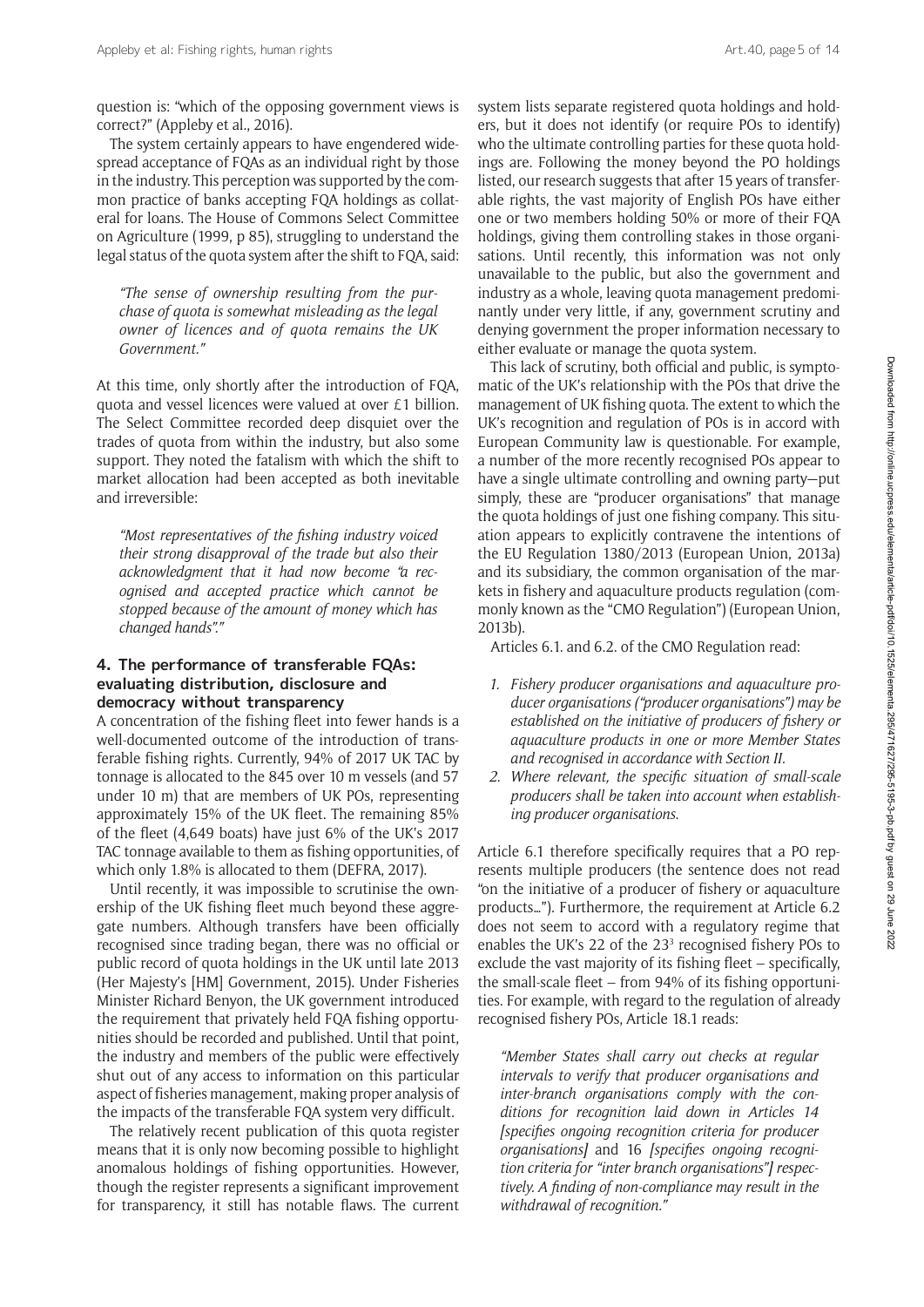question is: "which of the opposing government views is correct?" (Appleby et al., 2016).

The system certainly appears to have engendered widespread acceptance of FQAs as an individual right by those in the industry. This perception was supported by the common practice of banks accepting FQA holdings as collateral for loans. The House of Commons Select Committee on Agriculture (1999, p 85), struggling to understand the legal status of the quota system after the shift to FQA, said:

*"The sense of ownership resulting from the purchase of quota is somewhat misleading as the legal owner of licences and of quota remains the UK Government."*

At this time, only shortly after the introduction of FQA, quota and vessel licences were valued at over £1 billion. The Select Committee recorded deep disquiet over the trades of quota from within the industry, but also some support. They noted the fatalism with which the shift to market allocation had been accepted as both inevitable and irreversible:

*"Most representatives of the fishing industry voiced their strong disapproval of the trade but also their acknowledgment that it had now become "a recognised and accepted practice which cannot be stopped because of the amount of money which has changed hands"."*

#### **4. The performance of transferable FQAs: evaluating distribution, disclosure and democracy without transparency**

A concentration of the fishing fleet into fewer hands is a well-documented outcome of the introduction of transferable fishing rights. Currently, 94% of 2017 UK TAC by tonnage is allocated to the 845 over 10 m vessels (and 57 under 10 m) that are members of UK POs, representing approximately 15% of the UK fleet. The remaining 85% of the fleet (4,649 boats) have just 6% of the UK's 2017 TAC tonnage available to them as fishing opportunities, of which only 1.8% is allocated to them (DEFRA, 2017).

Until recently, it was impossible to scrutinise the ownership of the UK fishing fleet much beyond these aggregate numbers. Although transfers have been officially recognised since trading began, there was no official or public record of quota holdings in the UK until late 2013 (Her Majesty's [HM] Government, 2015). Under Fisheries Minister Richard Benyon, the UK government introduced the requirement that privately held FQA fishing opportunities should be recorded and published. Until that point, the industry and members of the public were effectively shut out of any access to information on this particular aspect of fisheries management, making proper analysis of the impacts of the transferable FQA system very difficult.

The relatively recent publication of this quota register means that it is only now becoming possible to highlight anomalous holdings of fishing opportunities. However, though the register represents a significant improvement for transparency, it still has notable flaws. The current

system lists separate registered quota holdings and holders, but it does not identify (or require POs to identify) who the ultimate controlling parties for these quota holdings are. Following the money beyond the PO holdings listed, our research suggests that after 15 years of transferable rights, the vast majority of English POs have either one or two members holding 50% or more of their FQA holdings, giving them controlling stakes in those organisations. Until recently, this information was not only unavailable to the public, but also the government and industry as a whole, leaving quota management predominantly under very little, if any, government scrutiny and denying government the proper information necessary to either evaluate or manage the quota system.

This lack of scrutiny, both official and public, is symptomatic of the UK's relationship with the POs that drive the management of UK fishing quota. The extent to which the UK's recognition and regulation of POs is in accord with European Community law is questionable. For example, a number of the more recently recognised POs appear to have a single ultimate controlling and owning party—put simply, these are "producer organisations" that manage the quota holdings of just one fishing company. This situation appears to explicitly contravene the intentions of the EU Regulation 1380/2013 (European Union, 2013a) and its subsidiary, the common organisation of the markets in fishery and aquaculture products regulation (commonly known as the "CMO Regulation") (European Union, 2013b).

Articles 6.1. and 6.2. of the CMO Regulation read:

- *1. Fishery producer organisations and aquaculture producer organisations ("producer organisations") may be established on the initiative of producers of fishery or aquaculture products in one or more Member States and recognised in accordance with Section II.*
- *2. Where relevant, the specific situation of small-scale producers shall be taken into account when establishing producer organisations*.

Article 6.1 therefore specifically requires that a PO represents multiple producers (the sentence does not read "on the initiative of a producer of fishery or aquaculture products…"). Furthermore, the requirement at Article 6.2 does not seem to accord with a regulatory regime that enables the UK's 22 of the  $23<sup>3</sup>$  recognised fishery POs to exclude the vast majority of its fishing fleet – specifically, the small-scale fleet – from 94% of its fishing opportunities. For example, with regard to the regulation of already recognised fishery POs, Article 18.1 reads:

*"Member States shall carry out checks at regular intervals to verify that producer organisations and inter-branch organisations comply with the conditions for recognition laid down in Articles 14 [specifies ongoing recognition criteria for producer organisations]* and 16 *[specifies ongoing recognition criteria for "inter branch organisations"] respectively. A finding of non-compliance may result in the withdrawal of recognition."*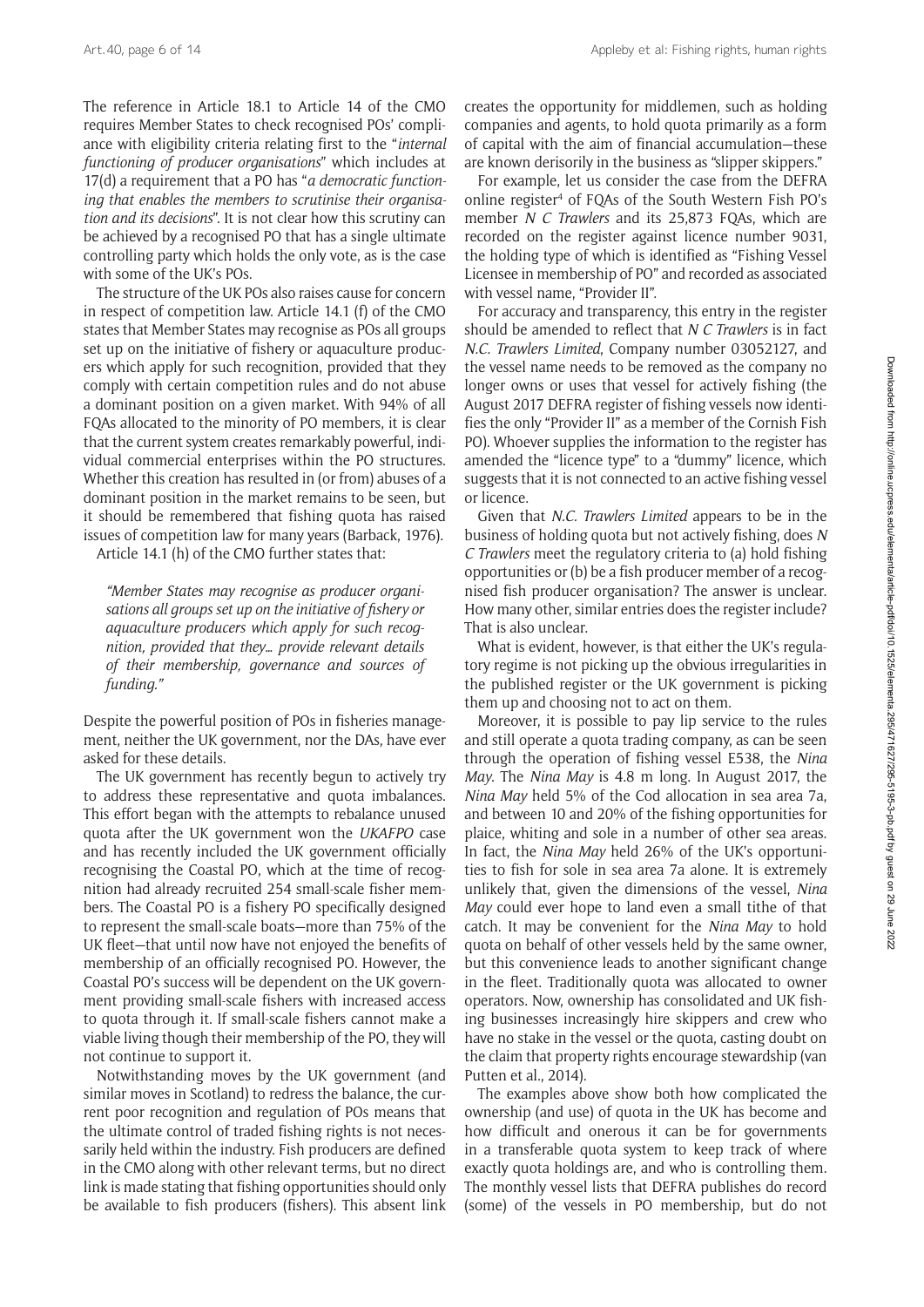The reference in Article 18.1 to Article 14 of the CMO requires Member States to check recognised POs' compliance with eligibility criteria relating first to the "*internal functioning of producer organisations*" which includes at 17(d) a requirement that a PO has "*a democratic functioning that enables the members to scrutinise their organisation and its decisions*". It is not clear how this scrutiny can be achieved by a recognised PO that has a single ultimate controlling party which holds the only vote, as is the case with some of the UK's POs.

The structure of the UK POs also raises cause for concern in respect of competition law. Article 14.1 (f) of the CMO states that Member States may recognise as POs all groups set up on the initiative of fishery or aquaculture producers which apply for such recognition, provided that they comply with certain competition rules and do not abuse a dominant position on a given market. With 94% of all FQAs allocated to the minority of PO members, it is clear that the current system creates remarkably powerful, individual commercial enterprises within the PO structures. Whether this creation has resulted in (or from) abuses of a dominant position in the market remains to be seen, but it should be remembered that fishing quota has raised issues of competition law for many years (Barback, 1976). Article 14.1 (h) of the CMO further states that:

*"Member States may recognise as producer organisations all groups set up on the initiative of fishery or aquaculture producers which apply for such recognition, provided that they… provide relevant details of their membership, governance and sources of funding."*

Despite the powerful position of POs in fisheries management, neither the UK government, nor the DAs, have ever asked for these details.

The UK government has recently begun to actively try to address these representative and quota imbalances. This effort began with the attempts to rebalance unused quota after the UK government won the *UKAFPO* case and has recently included the UK government officially recognising the Coastal PO, which at the time of recognition had already recruited 254 small-scale fisher members. The Coastal PO is a fishery PO specifically designed to represent the small-scale boats—more than 75% of the UK fleet—that until now have not enjoyed the benefits of membership of an officially recognised PO. However, the Coastal PO's success will be dependent on the UK government providing small-scale fishers with increased access to quota through it. If small-scale fishers cannot make a viable living though their membership of the PO, they will not continue to support it.

Notwithstanding moves by the UK government (and similar moves in Scotland) to redress the balance, the current poor recognition and regulation of POs means that the ultimate control of traded fishing rights is not necessarily held within the industry. Fish producers are defined in the CMO along with other relevant terms, but no direct link is made stating that fishing opportunities should only be available to fish producers (fishers). This absent link creates the opportunity for middlemen, such as holding companies and agents, to hold quota primarily as a form of capital with the aim of financial accumulation—these are known derisorily in the business as "slipper skippers."

For example, let us consider the case from the DEFRA online register4 of FQAs of the South Western Fish PO's member *N C Trawlers* and its 25,873 FQAs, which are recorded on the register against licence number 9031, the holding type of which is identified as "Fishing Vessel Licensee in membership of PO" and recorded as associated with vessel name, "Provider II".

For accuracy and transparency, this entry in the register should be amended to reflect that *N C Trawlers* is in fact *N.C. Trawlers Limited*, Company number 03052127, and the vessel name needs to be removed as the company no longer owns or uses that vessel for actively fishing (the August 2017 DEFRA register of fishing vessels now identifies the only "Provider II" as a member of the Cornish Fish PO). Whoever supplies the information to the register has amended the "licence type" to a "dummy" licence, which suggests that it is not connected to an active fishing vessel or licence.

Given that *N.C. Trawlers Limited* appears to be in the business of holding quota but not actively fishing, does *N C Trawlers* meet the regulatory criteria to (a) hold fishing opportunities or (b) be a fish producer member of a recognised fish producer organisation? The answer is unclear. How many other, similar entries does the register include? That is also unclear.

What is evident, however, is that either the UK's regulatory regime is not picking up the obvious irregularities in the published register or the UK government is picking them up and choosing not to act on them.

Moreover, it is possible to pay lip service to the rules and still operate a quota trading company, as can be seen through the operation of fishing vessel E538, the *Nina May*. The *Nina May* is 4.8 m long. In August 2017, the *Nina May* held 5% of the Cod allocation in sea area 7a, and between 10 and 20% of the fishing opportunities for plaice, whiting and sole in a number of other sea areas. In fact, the *Nina May* held 26% of the UK's opportunities to fish for sole in sea area 7a alone. It is extremely unlikely that, given the dimensions of the vessel, *Nina May* could ever hope to land even a small tithe of that catch. It may be convenient for the *Nina May* to hold quota on behalf of other vessels held by the same owner, but this convenience leads to another significant change in the fleet. Traditionally quota was allocated to owner operators. Now, ownership has consolidated and UK fishing businesses increasingly hire skippers and crew who have no stake in the vessel or the quota, casting doubt on the claim that property rights encourage stewardship (van Putten et al., 2014).

The examples above show both how complicated the ownership (and use) of quota in the UK has become and how difficult and onerous it can be for governments in a transferable quota system to keep track of where exactly quota holdings are, and who is controlling them. The monthly vessel lists that DEFRA publishes do record (some) of the vessels in PO membership, but do not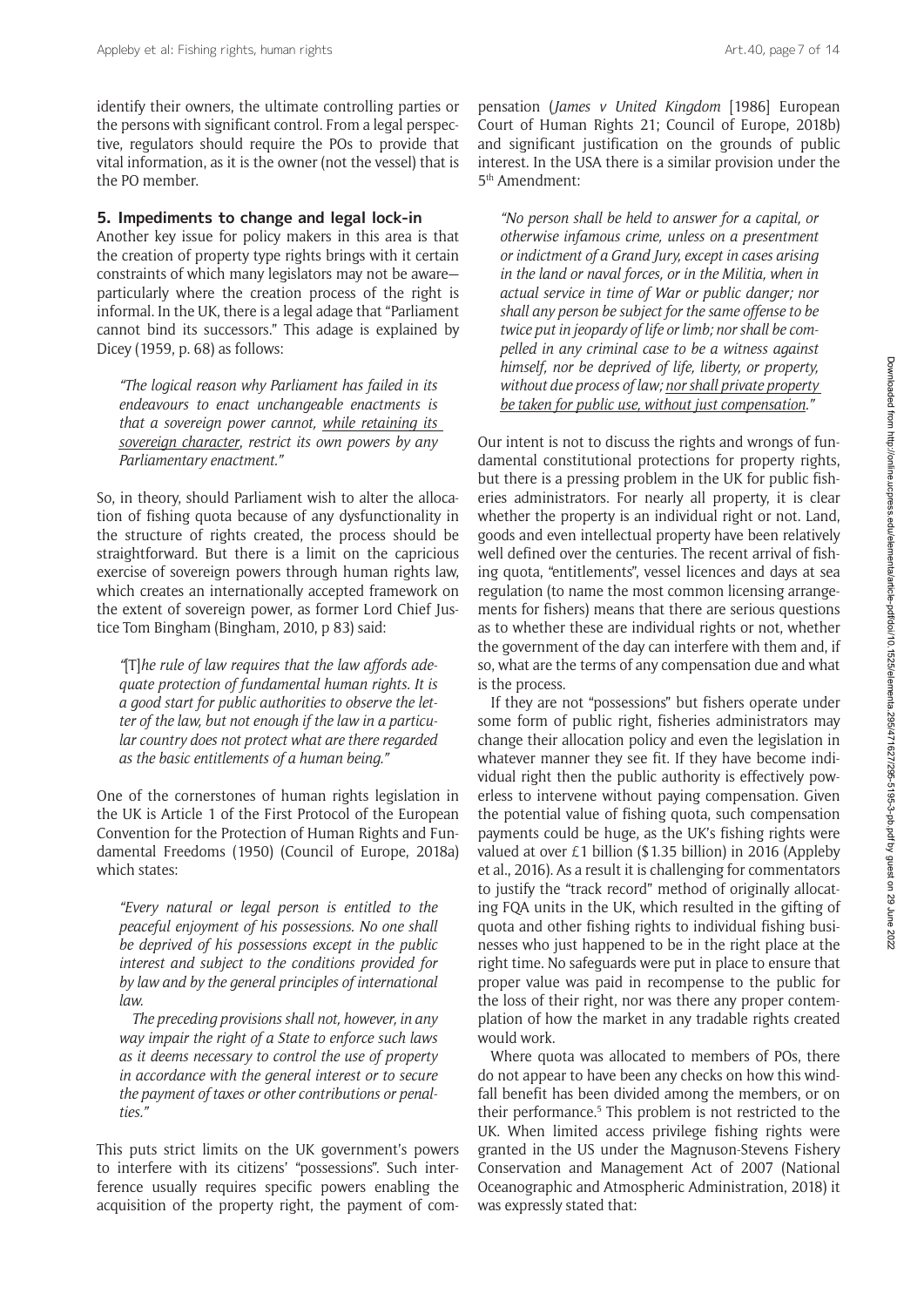identify their owners, the ultimate controlling parties or the persons with significant control. From a legal perspective, regulators should require the POs to provide that vital information, as it is the owner (not the vessel) that is the PO member.

#### **5. Impediments to change and legal lock-in**

Another key issue for policy makers in this area is that the creation of property type rights brings with it certain constraints of which many legislators may not be aware particularly where the creation process of the right is informal. In the UK, there is a legal adage that "Parliament cannot bind its successors." This adage is explained by Dicey (1959, p. 68) as follows:

*"The logical reason why Parliament has failed in its endeavours to enact unchangeable enactments is that a sovereign power cannot, while retaining its sovereign character*, *restrict its own powers by any Parliamentary enactment."*

So, in theory, should Parliament wish to alter the allocation of fishing quota because of any dysfunctionality in the structure of rights created, the process should be straightforward. But there is a limit on the capricious exercise of sovereign powers through human rights law, which creates an internationally accepted framework on the extent of sovereign power, as former Lord Chief Justice Tom Bingham (Bingham, 2010, p 83) said:

*"*[T]*he rule of law requires that the law affords adequate protection of fundamental human rights. It is a good start for public authorities to observe the letter of the law, but not enough if the law in a particular country does not protect what are there regarded as the basic entitlements of a human being."*

One of the cornerstones of human rights legislation in the UK is Article 1 of the First Protocol of the European Convention for the Protection of Human Rights and Fundamental Freedoms (1950) (Council of Europe, 2018a) which states:

*"Every natural or legal person is entitled to the peaceful enjoyment of his possessions. No one shall be deprived of his possessions except in the public interest and subject to the conditions provided for by law and by the general principles of international law.*

*The preceding provisions shall not, however, in any way impair the right of a State to enforce such laws as it deems necessary to control the use of property in accordance with the general interest or to secure the payment of taxes or other contributions or penalties."*

This puts strict limits on the UK government's powers to interfere with its citizens' "possessions". Such interference usually requires specific powers enabling the acquisition of the property right, the payment of compensation (*James v United Kingdom* [1986] European Court of Human Rights 21; Council of Europe, 2018b) and significant justification on the grounds of public interest. In the USA there is a similar provision under the 5th Amendment:

*"No person shall be held to answer for a capital, or otherwise infamous crime, unless on a presentment or indictment of a Grand Jury, except in cases arising in the land or naval forces, or in the Militia, when in actual service in time of War or public danger; nor shall any person be subject for the same offense to be twice put in jeopardy of life or limb; nor shall be compelled in any criminal case to be a witness against himself, nor be deprived of life, liberty, or property, without due process of law; nor shall private property be taken for public use, without just compensation."*

Our intent is not to discuss the rights and wrongs of fundamental constitutional protections for property rights, but there is a pressing problem in the UK for public fisheries administrators. For nearly all property, it is clear whether the property is an individual right or not. Land, goods and even intellectual property have been relatively well defined over the centuries. The recent arrival of fishing quota, "entitlements", vessel licences and days at sea regulation (to name the most common licensing arrangements for fishers) means that there are serious questions as to whether these are individual rights or not, whether the government of the day can interfere with them and, if so, what are the terms of any compensation due and what is the process.

If they are not "possessions" but fishers operate under some form of public right, fisheries administrators may change their allocation policy and even the legislation in whatever manner they see fit. If they have become individual right then the public authority is effectively powerless to intervene without paying compensation. Given the potential value of fishing quota, such compensation payments could be huge, as the UK's fishing rights were valued at over £1 billion (\$1.35 billion) in 2016 (Appleby et al., 2016). As a result it is challenging for commentators to justify the "track record" method of originally allocating FQA units in the UK, which resulted in the gifting of quota and other fishing rights to individual fishing businesses who just happened to be in the right place at the right time. No safeguards were put in place to ensure that proper value was paid in recompense to the public for the loss of their right, nor was there any proper contemplation of how the market in any tradable rights created would work.

Where quota was allocated to members of POs, there do not appear to have been any checks on how this windfall benefit has been divided among the members, or on their performance.<sup>5</sup> This problem is not restricted to the UK. When limited access privilege fishing rights were granted in the US under the Magnuson-Stevens Fishery Conservation and Management Act of 2007 (National Oceanographic and Atmospheric Administration, 2018) it was expressly stated that: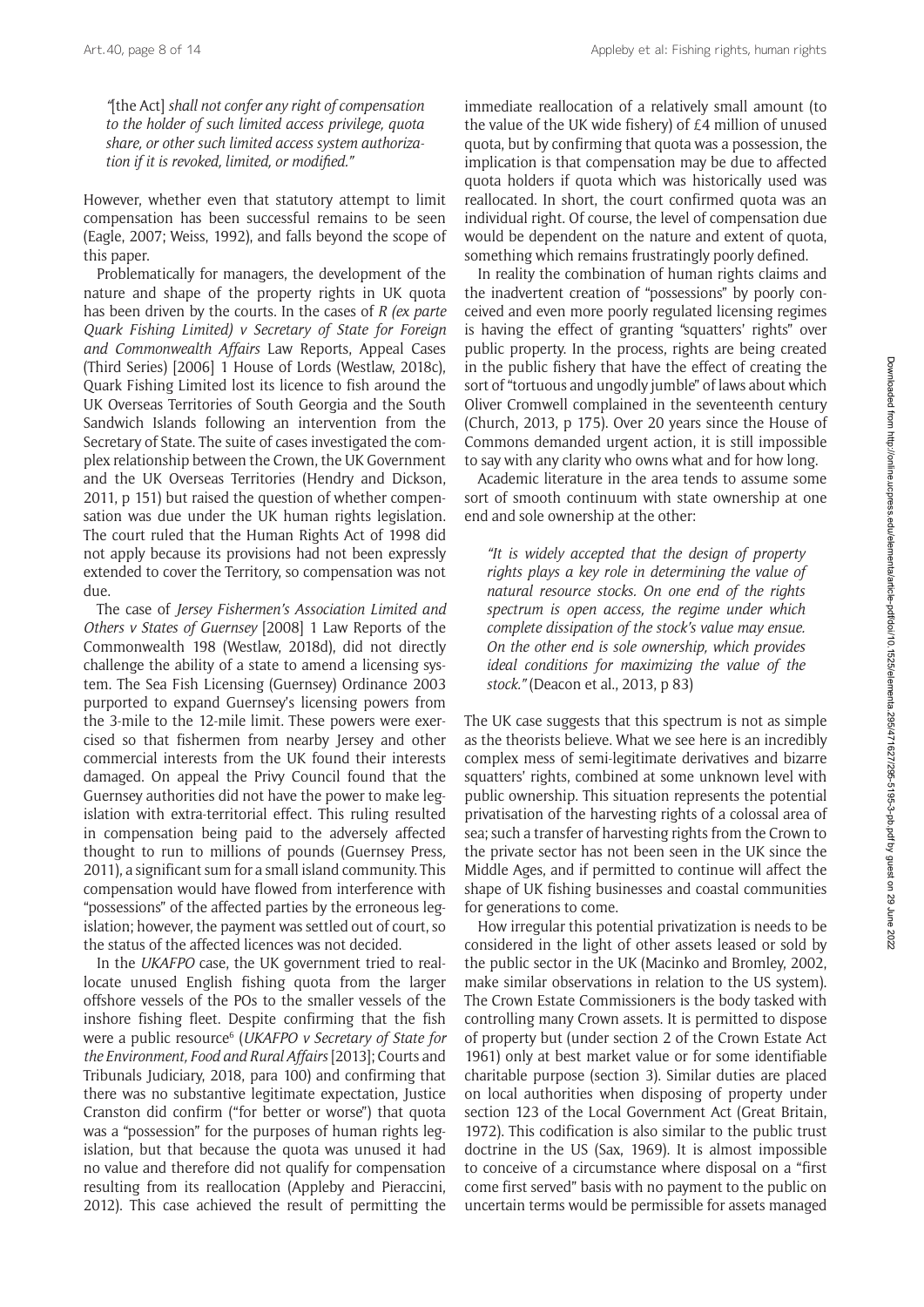*"*[the Act] *shall not confer any right of compensation to the holder of such limited access privilege, quota share, or other such limited access system authorization if it is revoked, limited, or modified."*

However, whether even that statutory attempt to limit compensation has been successful remains to be seen (Eagle, 2007; Weiss, 1992), and falls beyond the scope of this paper.

Problematically for managers, the development of the nature and shape of the property rights in UK quota has been driven by the courts. In the cases of *R (ex parte Quark Fishing Limited) v Secretary of State for Foreign and Commonwealth Affairs* Law Reports, Appeal Cases (Third Series) [2006] 1 House of Lords (Westlaw, 2018c), Quark Fishing Limited lost its licence to fish around the UK Overseas Territories of South Georgia and the South Sandwich Islands following an intervention from the Secretary of State. The suite of cases investigated the complex relationship between the Crown, the UK Government and the UK Overseas Territories (Hendry and Dickson, 2011, p 151) but raised the question of whether compensation was due under the UK human rights legislation. The court ruled that the Human Rights Act of 1998 did not apply because its provisions had not been expressly extended to cover the Territory, so compensation was not due.

The case of *Jersey Fishermen's Association Limited and Others v States of Guernsey* [2008] 1 Law Reports of the Commonwealth 198 (Westlaw, 2018d), did not directly challenge the ability of a state to amend a licensing system. The Sea Fish Licensing (Guernsey) Ordinance 2003 purported to expand Guernsey's licensing powers from the 3-mile to the 12-mile limit. These powers were exercised so that fishermen from nearby Jersey and other commercial interests from the UK found their interests damaged. On appeal the Privy Council found that the Guernsey authorities did not have the power to make legislation with extra-territorial effect. This ruling resulted in compensation being paid to the adversely affected thought to run to millions of pounds (Guernsey Press*,*  2011), a significant sum for a small island community. This compensation would have flowed from interference with "possessions" of the affected parties by the erroneous legislation; however, the payment was settled out of court, so the status of the affected licences was not decided.

In the *UKAFPO* case, the UK government tried to reallocate unused English fishing quota from the larger offshore vessels of the POs to the smaller vessels of the inshore fishing fleet. Despite confirming that the fish were a public resource6 (*UKAFPO v Secretary of State for the Environment, Food and Rural Affairs* [2013]; Courts and Tribunals Judiciary, 2018, para 100) and confirming that there was no substantive legitimate expectation, Justice Cranston did confirm ("for better or worse") that quota was a "possession" for the purposes of human rights legislation, but that because the quota was unused it had no value and therefore did not qualify for compensation resulting from its reallocation (Appleby and Pieraccini, 2012). This case achieved the result of permitting the

immediate reallocation of a relatively small amount (to the value of the UK wide fishery) of £4 million of unused quota, but by confirming that quota was a possession, the implication is that compensation may be due to affected quota holders if quota which was historically used was reallocated. In short, the court confirmed quota was an individual right. Of course, the level of compensation due would be dependent on the nature and extent of quota, something which remains frustratingly poorly defined.

In reality the combination of human rights claims and the inadvertent creation of "possessions" by poorly conceived and even more poorly regulated licensing regimes is having the effect of granting "squatters' rights" over public property. In the process, rights are being created in the public fishery that have the effect of creating the sort of "tortuous and ungodly jumble" of laws about which Oliver Cromwell complained in the seventeenth century (Church, 2013, p 175). Over 20 years since the House of Commons demanded urgent action, it is still impossible to say with any clarity who owns what and for how long.

Academic literature in the area tends to assume some sort of smooth continuum with state ownership at one end and sole ownership at the other:

*"It is widely accepted that the design of property rights plays a key role in determining the value of natural resource stocks. On one end of the rights spectrum is open access, the regime under which complete dissipation of the stock's value may ensue. On the other end is sole ownership, which provides ideal conditions for maximizing the value of the stock."* (Deacon et al., 2013, p 83)

The UK case suggests that this spectrum is not as simple as the theorists believe. What we see here is an incredibly complex mess of semi-legitimate derivatives and bizarre squatters' rights, combined at some unknown level with public ownership. This situation represents the potential privatisation of the harvesting rights of a colossal area of sea; such a transfer of harvesting rights from the Crown to the private sector has not been seen in the UK since the Middle Ages, and if permitted to continue will affect the shape of UK fishing businesses and coastal communities for generations to come.

How irregular this potential privatization is needs to be considered in the light of other assets leased or sold by the public sector in the UK (Macinko and Bromley, 2002, make similar observations in relation to the US system). The Crown Estate Commissioners is the body tasked with controlling many Crown assets. It is permitted to dispose of property but (under section 2 of the Crown Estate Act 1961) only at best market value or for some identifiable charitable purpose (section 3). Similar duties are placed on local authorities when disposing of property under section 123 of the Local Government Act (Great Britain, 1972). This codification is also similar to the public trust doctrine in the US (Sax, 1969). It is almost impossible to conceive of a circumstance where disposal on a "first come first served" basis with no payment to the public on uncertain terms would be permissible for assets managed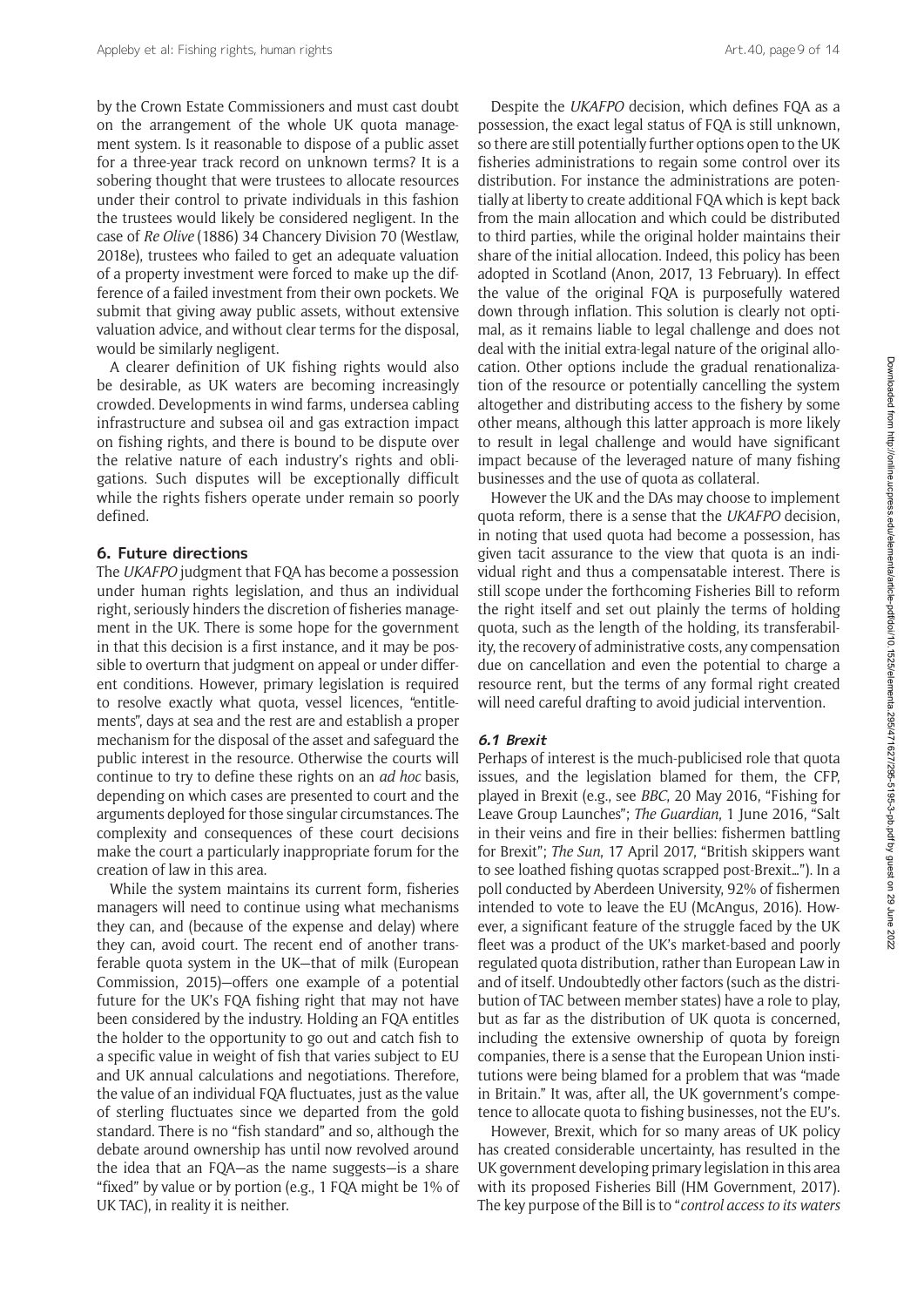by the Crown Estate Commissioners and must cast doubt on the arrangement of the whole UK quota management system. Is it reasonable to dispose of a public asset for a three-year track record on unknown terms? It is a sobering thought that were trustees to allocate resources under their control to private individuals in this fashion the trustees would likely be considered negligent. In the case of *Re Olive* (1886) 34 Chancery Division 70 (Westlaw, 2018e), trustees who failed to get an adequate valuation of a property investment were forced to make up the difference of a failed investment from their own pockets. We submit that giving away public assets, without extensive valuation advice, and without clear terms for the disposal, would be similarly negligent.

A clearer definition of UK fishing rights would also be desirable, as UK waters are becoming increasingly crowded. Developments in wind farms, undersea cabling infrastructure and subsea oil and gas extraction impact on fishing rights, and there is bound to be dispute over the relative nature of each industry's rights and obligations. Such disputes will be exceptionally difficult while the rights fishers operate under remain so poorly defined.

#### **6. Future directions**

The *UKAFPO* judgment that FQA has become a possession under human rights legislation, and thus an individual right, seriously hinders the discretion of fisheries management in the UK. There is some hope for the government in that this decision is a first instance, and it may be possible to overturn that judgment on appeal or under different conditions. However, primary legislation is required to resolve exactly what quota, vessel licences, "entitlements", days at sea and the rest are and establish a proper mechanism for the disposal of the asset and safeguard the public interest in the resource. Otherwise the courts will continue to try to define these rights on an *ad hoc* basis, depending on which cases are presented to court and the arguments deployed for those singular circumstances. The complexity and consequences of these court decisions make the court a particularly inappropriate forum for the creation of law in this area.

While the system maintains its current form, fisheries managers will need to continue using what mechanisms they can, and (because of the expense and delay) where they can, avoid court. The recent end of another transferable quota system in the UK—that of milk (European Commission, 2015)—offers one example of a potential future for the UK's FQA fishing right that may not have been considered by the industry. Holding an FQA entitles the holder to the opportunity to go out and catch fish to a specific value in weight of fish that varies subject to EU and UK annual calculations and negotiations. Therefore, the value of an individual FQA fluctuates, just as the value of sterling fluctuates since we departed from the gold standard. There is no "fish standard" and so, although the debate around ownership has until now revolved around the idea that an FQA—as the name suggests—is a share "fixed" by value or by portion (e.g., 1 FQA might be 1% of UK TAC), in reality it is neither.

Despite the *UKAFPO* decision, which defines FQA as a possession, the exact legal status of FQA is still unknown, so there are still potentially further options open to the UK fisheries administrations to regain some control over its distribution. For instance the administrations are potentially at liberty to create additional FQA which is kept back from the main allocation and which could be distributed to third parties, while the original holder maintains their share of the initial allocation. Indeed, this policy has been adopted in Scotland (Anon, 2017, 13 February). In effect the value of the original FQA is purposefully watered down through inflation. This solution is clearly not optimal, as it remains liable to legal challenge and does not deal with the initial extra-legal nature of the original allocation. Other options include the gradual renationalization of the resource or potentially cancelling the system altogether and distributing access to the fishery by some other means, although this latter approach is more likely to result in legal challenge and would have significant impact because of the leveraged nature of many fishing businesses and the use of quota as collateral.

However the UK and the DAs may choose to implement quota reform, there is a sense that the *UKAFPO* decision, in noting that used quota had become a possession, has given tacit assurance to the view that quota is an individual right and thus a compensatable interest. There is still scope under the forthcoming Fisheries Bill to reform the right itself and set out plainly the terms of holding quota, such as the length of the holding, its transferability, the recovery of administrative costs, any compensation due on cancellation and even the potential to charge a resource rent, but the terms of any formal right created will need careful drafting to avoid judicial intervention.

#### **6.1 Brexit**

Perhaps of interest is the much-publicised role that quota issues, and the legislation blamed for them, the CFP, played in Brexit (e.g., see *BBC*, 20 May 2016, "Fishing for Leave Group Launches"; *The Guardian*, 1 June 2016, "Salt in their veins and fire in their bellies: fishermen battling for Brexit"; *The Sun*, 17 April 2017, "British skippers want to see loathed fishing quotas scrapped post-Brexit…"). In a poll conducted by Aberdeen University, 92% of fishermen intended to vote to leave the EU (McAngus, 2016). However, a significant feature of the struggle faced by the UK fleet was a product of the UK's market-based and poorly regulated quota distribution, rather than European Law in and of itself. Undoubtedly other factors (such as the distribution of TAC between member states) have a role to play, but as far as the distribution of UK quota is concerned, including the extensive ownership of quota by foreign companies, there is a sense that the European Union institutions were being blamed for a problem that was "made in Britain." It was, after all, the UK government's competence to allocate quota to fishing businesses, not the EU's.

However, Brexit, which for so many areas of UK policy has created considerable uncertainty, has resulted in the UK government developing primary legislation in this area with its proposed Fisheries Bill (HM Government, 2017). The key purpose of the Bill is to "*control access to its waters*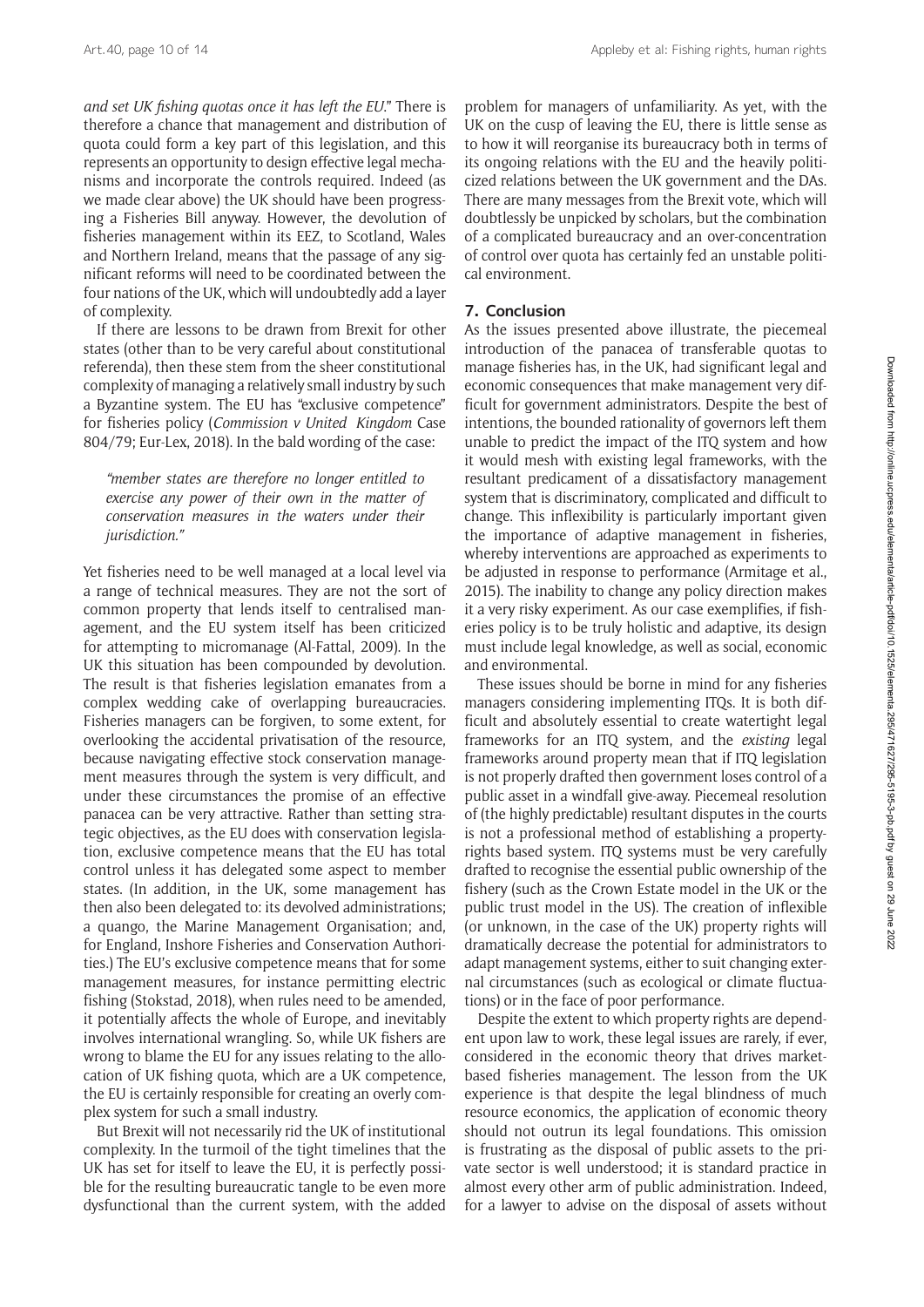*and set UK fishing quotas once it has left the EU*." There is therefore a chance that management and distribution of quota could form a key part of this legislation, and this represents an opportunity to design effective legal mechanisms and incorporate the controls required. Indeed (as we made clear above) the UK should have been progressing a Fisheries Bill anyway. However, the devolution of fisheries management within its EEZ, to Scotland, Wales and Northern Ireland, means that the passage of any significant reforms will need to be coordinated between the four nations of the UK, which will undoubtedly add a layer of complexity.

If there are lessons to be drawn from Brexit for other states (other than to be very careful about constitutional referenda), then these stem from the sheer constitutional complexity of managing a relatively small industry by such a Byzantine system. The EU has "exclusive competence" for fisheries policy (*Commission v United Kingdom* Case 804/79; Eur-Lex, 2018). In the bald wording of the case:

#### *"member states are therefore no longer entitled to exercise any power of their own in the matter of conservation measures in the waters under their jurisdiction."*

Yet fisheries need to be well managed at a local level via a range of technical measures. They are not the sort of common property that lends itself to centralised management, and the EU system itself has been criticized for attempting to micromanage (Al-Fattal, 2009). In the UK this situation has been compounded by devolution. The result is that fisheries legislation emanates from a complex wedding cake of overlapping bureaucracies. Fisheries managers can be forgiven, to some extent, for overlooking the accidental privatisation of the resource, because navigating effective stock conservation management measures through the system is very difficult, and under these circumstances the promise of an effective panacea can be very attractive. Rather than setting strategic objectives, as the EU does with conservation legislation, exclusive competence means that the EU has total control unless it has delegated some aspect to member states. (In addition, in the UK, some management has then also been delegated to: its devolved administrations; a quango, the Marine Management Organisation; and, for England, Inshore Fisheries and Conservation Authorities.) The EU's exclusive competence means that for some management measures, for instance permitting electric fishing (Stokstad, 2018), when rules need to be amended, it potentially affects the whole of Europe, and inevitably involves international wrangling. So, while UK fishers are wrong to blame the EU for any issues relating to the allocation of UK fishing quota, which are a UK competence, the EU is certainly responsible for creating an overly complex system for such a small industry.

But Brexit will not necessarily rid the UK of institutional complexity. In the turmoil of the tight timelines that the UK has set for itself to leave the EU, it is perfectly possible for the resulting bureaucratic tangle to be even more dysfunctional than the current system, with the added

problem for managers of unfamiliarity. As yet, with the UK on the cusp of leaving the EU, there is little sense as to how it will reorganise its bureaucracy both in terms of its ongoing relations with the EU and the heavily politicized relations between the UK government and the DAs. There are many messages from the Brexit vote, which will doubtlessly be unpicked by scholars, but the combination of a complicated bureaucracy and an over-concentration of control over quota has certainly fed an unstable political environment.

#### **7. Conclusion**

As the issues presented above illustrate, the piecemeal introduction of the panacea of transferable quotas to manage fisheries has, in the UK, had significant legal and economic consequences that make management very difficult for government administrators. Despite the best of intentions, the bounded rationality of governors left them unable to predict the impact of the ITQ system and how it would mesh with existing legal frameworks, with the resultant predicament of a dissatisfactory management system that is discriminatory, complicated and difficult to change. This inflexibility is particularly important given the importance of adaptive management in fisheries, whereby interventions are approached as experiments to be adjusted in response to performance (Armitage et al., 2015). The inability to change any policy direction makes it a very risky experiment. As our case exemplifies, if fisheries policy is to be truly holistic and adaptive, its design must include legal knowledge, as well as social, economic and environmental.

These issues should be borne in mind for any fisheries managers considering implementing ITQs. It is both difficult and absolutely essential to create watertight legal frameworks for an ITQ system, and the *existing* legal frameworks around property mean that if ITQ legislation is not properly drafted then government loses control of a public asset in a windfall give-away. Piecemeal resolution of (the highly predictable) resultant disputes in the courts is not a professional method of establishing a propertyrights based system. ITQ systems must be very carefully drafted to recognise the essential public ownership of the fishery (such as the Crown Estate model in the UK or the public trust model in the US). The creation of inflexible (or unknown, in the case of the UK) property rights will dramatically decrease the potential for administrators to adapt management systems, either to suit changing external circumstances (such as ecological or climate fluctuations) or in the face of poor performance.

Despite the extent to which property rights are dependent upon law to work, these legal issues are rarely, if ever, considered in the economic theory that drives marketbased fisheries management. The lesson from the UK experience is that despite the legal blindness of much resource economics, the application of economic theory should not outrun its legal foundations. This omission is frustrating as the disposal of public assets to the private sector is well understood; it is standard practice in almost every other arm of public administration. Indeed, for a lawyer to advise on the disposal of assets without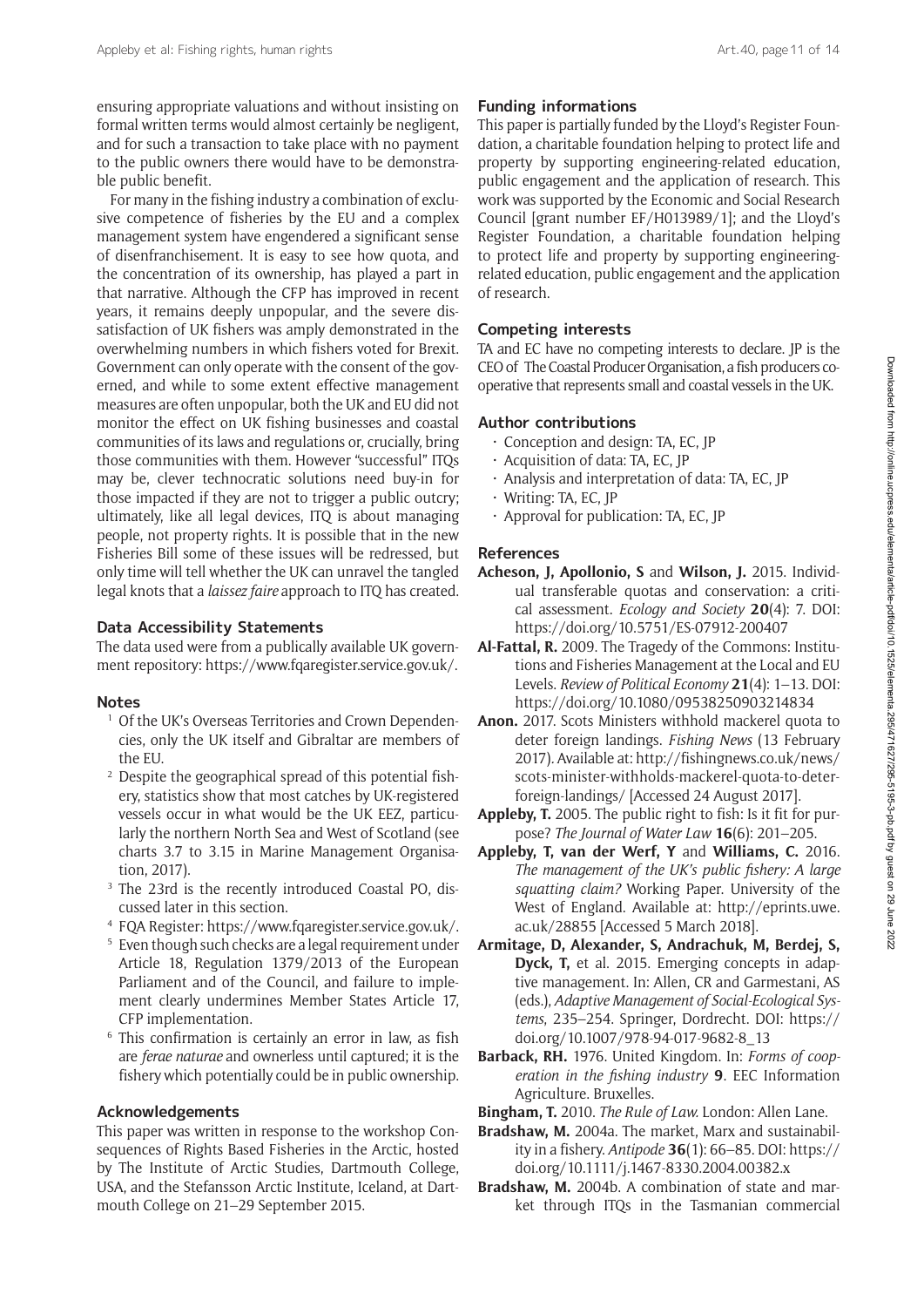ensuring appropriate valuations and without insisting on formal written terms would almost certainly be negligent, and for such a transaction to take place with no payment to the public owners there would have to be demonstrable public benefit.

For many in the fishing industry a combination of exclusive competence of fisheries by the EU and a complex management system have engendered a significant sense of disenfranchisement. It is easy to see how quota, and the concentration of its ownership, has played a part in that narrative. Although the CFP has improved in recent years, it remains deeply unpopular, and the severe dissatisfaction of UK fishers was amply demonstrated in the overwhelming numbers in which fishers voted for Brexit. Government can only operate with the consent of the governed, and while to some extent effective management measures are often unpopular, both the UK and EU did not monitor the effect on UK fishing businesses and coastal communities of its laws and regulations or, crucially, bring those communities with them. However "successful" ITQs may be, clever technocratic solutions need buy-in for those impacted if they are not to trigger a public outcry; ultimately, like all legal devices, ITQ is about managing people, not property rights. It is possible that in the new Fisheries Bill some of these issues will be redressed, but only time will tell whether the UK can unravel the tangled legal knots that a *laissez faire* approach to ITQ has created.

# **Data Accessibility Statements**

The data used were from a publically available UK government repository: [https://www.fqaregister.service.gov.uk/.](https://www.fqaregister.service.gov.uk/)

#### **Notes**

- <sup>1</sup> Of the UK's Overseas Territories and Crown Dependencies, only the UK itself and Gibraltar are members of the EU.
- <sup>2</sup> Despite the geographical spread of this potential fishery, statistics show that most catches by UK-registered vessels occur in what would be the UK EEZ, particularly the northern North Sea and West of Scotland (see charts 3.7 to 3.15 in Marine Management Organisation, 2017).
- <sup>3</sup> The 23rd is the recently introduced Coastal PO, discussed later in this section.
- <sup>4</sup> FQA Register: [https://www.fqaregister.service.gov.uk/.](https://www.fqaregister.service.gov.uk/)
- <sup>5</sup> Even though such checks are a legal requirement under Article 18, Regulation 1379/2013 of the European Parliament and of the Council, and failure to implement clearly undermines Member States Article 17, CFP implementation.
- <sup>6</sup> This confirmation is certainly an error in law, as fish are *ferae naturae* and ownerless until captured; it is the fishery which potentially could be in public ownership.

# **Acknowledgements**

This paper was written in response to the workshop Consequences of Rights Based Fisheries in the Arctic, hosted by The Institute of Arctic Studies, Dartmouth College, USA, and the Stefansson Arctic Institute, Iceland, at Dartmouth College on 21–29 September 2015.

# **Funding informations**

This paper is partially funded by the Lloyd's Register Foundation, a charitable foundation helping to protect life and property by supporting engineering-related education, public engagement and the application of research. This work was supported by the Economic and Social Research Council [grant number EF/H013989/1]; and the Lloyd's Register Foundation, a charitable foundation helping to protect life and property by supporting engineeringrelated education, public engagement and the application of research.

# **Competing interests**

TA and EC have no competing interests to declare. JP is the CEO of The Coastal Producer Organisation, a fish producers cooperative that represents small and coastal vessels in the UK.

#### **Author contributions**

- Conception and design: TA, EC, JP
- Acquisition of data: TA, EC, JP
- Analysis and interpretation of data: TA, EC, JP
- Writing: TA, EC, JP
- Approval for publication: TA, EC, JP

#### **References**

- **Acheson, J, Apollonio, S** and **Wilson, J.** 2015. Individual transferable quotas and conservation: a critical assessment. *Ecology and Society* **20**(4): 7. DOI: <https://doi.org/10.5751/ES-07912-200407>
- **Al-Fattal, R.** 2009. The Tragedy of the Commons: Institutions and Fisheries Management at the Local and EU Levels. *Review of Political Economy* **21**(4): 1–13. DOI: <https://doi.org/10.1080/09538250903214834>
- **Anon.** 2017. Scots Ministers withhold mackerel quota to deter foreign landings. *Fishing News* (13 February 2017)*.* Available at: [http://fishingnews.co.uk/news/](http://fishingnews.co.uk/news/scots-minister-withholds-mackerel-quota-to-deter-foreign-landings/) [scots-minister-withholds-mackerel-quota-to-deter](http://fishingnews.co.uk/news/scots-minister-withholds-mackerel-quota-to-deter-foreign-landings/)[foreign-landings/](http://fishingnews.co.uk/news/scots-minister-withholds-mackerel-quota-to-deter-foreign-landings/) [Accessed 24 August 2017].
- **Appleby, T.** 2005. The public right to fish: Is it fit for purpose? *The Journal of Water Law* **16**(6): 201–205.
- **Appleby, T, van der Werf, Y** and **Williams, C.** 2016. *The management of the UK's public fishery: A large squatting claim?* Working Paper. University of the West of England. Available at: [http://eprints.uwe.](http://eprints.uwe.ac.uk/28855) [ac.uk/28855](http://eprints.uwe.ac.uk/28855) [Accessed 5 March 2018].
- **Armitage, D, Alexander, S, Andrachuk, M, Berdej, S, Dyck, T,** et al. 2015. Emerging concepts in adaptive management. In: Allen, CR and Garmestani, AS (eds.), *Adaptive Management of Social-Ecological Systems*, 235–254. Springer, Dordrecht. DOI: [https://](https://doi.org/10.1007/978-94-017-9682-8_13) [doi.org/10.1007/978-94-017-9682-8\\_13](https://doi.org/10.1007/978-94-017-9682-8_13)
- **Barback, RH.** 1976. United Kingdom. In: *Forms of cooperation in the fishing industry* **9**. EEC Information Agriculture. Bruxelles.
- **Bingham, T.** 2010. *The Rule of Law.* London: Allen Lane.
- **Bradshaw, M.** 2004a. The market, Marx and sustainability in a fishery. *Antipode* **36**(1): 66–85. DOI: [https://](https://doi.org/10.1111/j.1467-8330.2004.00382.x) [doi.org/10.1111/j.1467-8330.2004.00382.x](https://doi.org/10.1111/j.1467-8330.2004.00382.x)
- **Bradshaw, M.** 2004b. A combination of state and market through ITQs in the Tasmanian commercial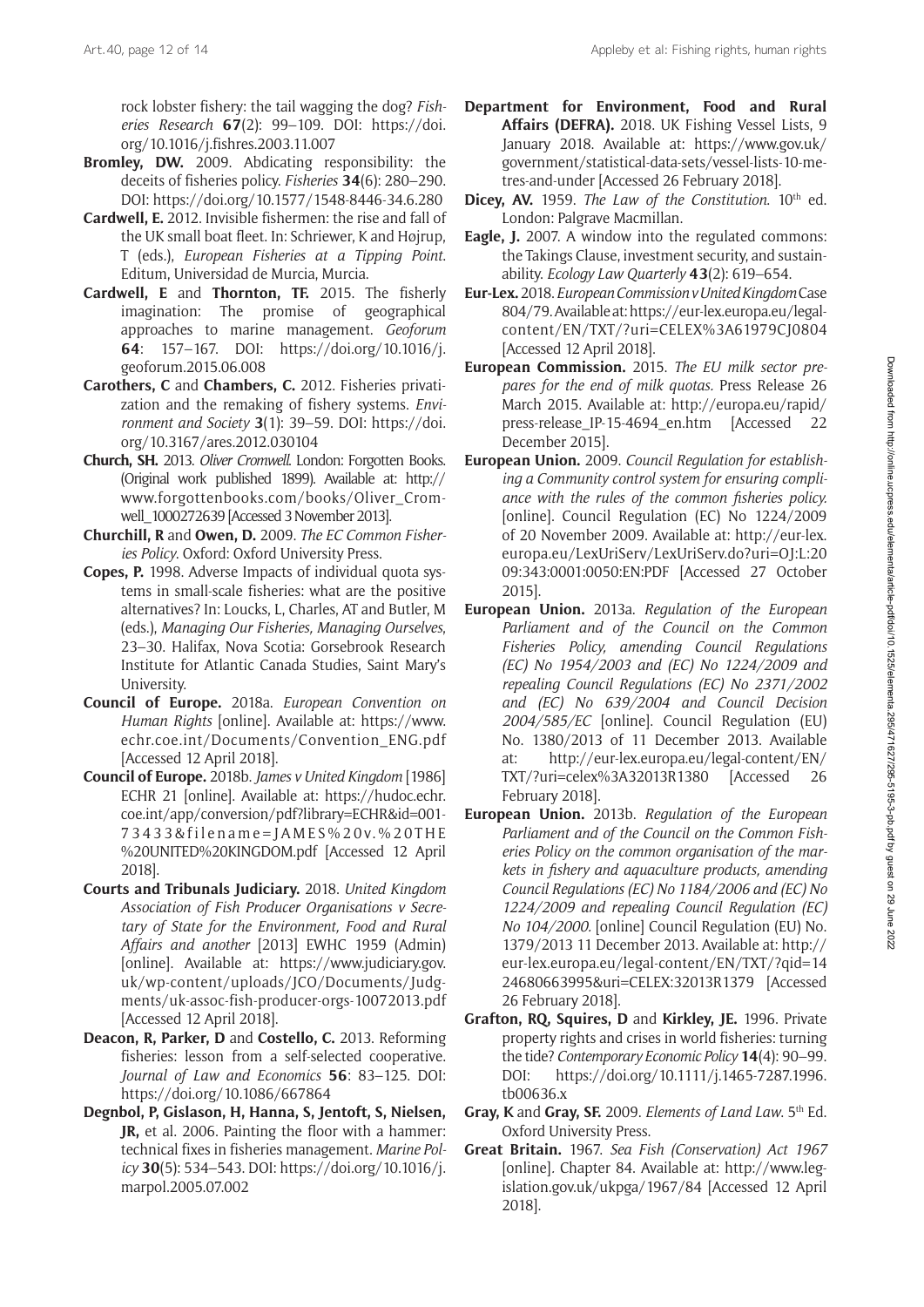rock lobster fishery: the tail wagging the dog? *Fisheries Research* **67**(2): 99–109. DOI: [https://doi.](https://doi.org/10.1016/j.fishres.2003.11.007) [org/10.1016/j.fishres.2003.11.007](https://doi.org/10.1016/j.fishres.2003.11.007)

- **Bromley, DW.** 2009. Abdicating responsibility: the deceits of fisheries policy. *Fisheries* **34**(6): 280–290. DOI: <https://doi.org/10.1577/1548-8446-34.6.280>
- **Cardwell, E.** 2012. Invisible fishermen: the rise and fall of the UK small boat fleet. In: Schriewer, K and Højrup, T (eds.), *European Fisheries at a Tipping Point*. Editum, Universidad de Murcia, Murcia.
- **Cardwell, E** and **Thornton, TF.** 2015. The fisherly imagination: The promise of geographical approaches to marine management. *Geoforum* **64**: 157–167. DOI: [https://doi.org/10.1016/j.](https://doi.org/10.1016/j.geoforum.2015.06.008) [geoforum.2015.06.008](https://doi.org/10.1016/j.geoforum.2015.06.008)
- **Carothers, C** and **Chambers, C.** 2012. Fisheries privatization and the remaking of fishery systems. *Environment and Society* **3**(1): 39–59. DOI: [https://doi.](https://doi.org/10.3167/ares.2012.030104) [org/10.3167/ares.2012.030104](https://doi.org/10.3167/ares.2012.030104)
- **Church, SH.** 2013. *Oliver Cromwell*. London: Forgotten Books. (Original work published 1899). Available at: [http://](http://www.forgottenbooks.com/books/Oliver_Cromwell_1000272639) [www.forgottenbooks.com/books/Oliver\\_Crom](http://www.forgottenbooks.com/books/Oliver_Cromwell_1000272639)[well\\_1000272639](http://www.forgottenbooks.com/books/Oliver_Cromwell_1000272639) [Accessed 3 November 2013].
- **Churchill, R** and **Owen, D.** 2009. *The EC Common Fisheries Policy*. Oxford: Oxford University Press.
- **Copes, P.** 1998. Adverse Impacts of individual quota systems in small-scale fisheries: what are the positive alternatives? In: Loucks, L, Charles, AT and Butler, M (eds.), *Managing Our Fisheries, Managing Ourselves*, 23–30. Halifax, Nova Scotia: Gorsebrook Research Institute for Atlantic Canada Studies, Saint Mary's University.
- **Council of Europe.** 2018a. *European Convention on Human Rights* [online]. Available at: [https://www.](https://www.echr.coe.int/Documents/Convention_ENG.pdf) [echr.coe.int/Documents/Convention\\_ENG.pdf](https://www.echr.coe.int/Documents/Convention_ENG.pdf) [Accessed 12 April 2018].
- **Council of Europe.** 2018b. *James v United Kingdom* [1986] ECHR 21 [online]. Available at: [https://hudoc.echr.](https://hudoc.echr.coe.int/app/conversion/pdf?library=ECHR&id=001-73433&filename=JAMES%20v.%20THE%20UNITED%20KINGDOM.pdf) [coe.int/app/conversion/pdf?library=ECHR&id=001-](https://hudoc.echr.coe.int/app/conversion/pdf?library=ECHR&id=001-73433&filename=JAMES%20v.%20THE%20UNITED%20KINGDOM.pdf) [73433&filename=JAMES%20v.%20THE](https://hudoc.echr.coe.int/app/conversion/pdf?library=ECHR&id=001-73433&filename=JAMES%20v.%20THE%20UNITED%20KINGDOM.pdf) [%20UNITED%20KINGDOM.pdf](https://hudoc.echr.coe.int/app/conversion/pdf?library=ECHR&id=001-73433&filename=JAMES%20v.%20THE%20UNITED%20KINGDOM.pdf) [Accessed 12 April 2018].
- **Courts and Tribunals Judiciary.** 2018. *United Kingdom Association of Fish Producer Organisations v Secretary of State for the Environment, Food and Rural Affairs and another* [2013] EWHC 1959 (Admin) [online]. Available at: [https://www.judiciary.gov.](https://www.judiciary.gov.uk/wp-content/uploads/JCO/Documents/Judgments/uk-assoc-fish-producer-orgs-10072013.pdf) [uk/wp-content/uploads/JCO/Documents/Judg](https://www.judiciary.gov.uk/wp-content/uploads/JCO/Documents/Judgments/uk-assoc-fish-producer-orgs-10072013.pdf)[ments/uk-assoc-fish-producer-orgs-10072013.pdf](https://www.judiciary.gov.uk/wp-content/uploads/JCO/Documents/Judgments/uk-assoc-fish-producer-orgs-10072013.pdf) [Accessed 12 April 2018].
- **Deacon, R, Parker, D** and **Costello, C.** 2013. Reforming fisheries: lesson from a self-selected cooperative. *Journal of Law and Economics* **56**: 83–125. DOI: <https://doi.org/10.1086/667864>
- **Degnbol, P, Gislason, H, Hanna, S, Jentoft, S, Nielsen, JR,** et al. 2006. Painting the floor with a hammer: technical fixes in fisheries management. *Marine Policy* **30**(5): 534–543. DOI: [https://doi.org/10.1016/j.](https://doi.org/10.1016/j.marpol.2005.07.002) [marpol.2005.07.002](https://doi.org/10.1016/j.marpol.2005.07.002)
- **Department for Environment, Food and Rural Affairs (DEFRA).** 2018. UK Fishing Vessel Lists, 9 January 2018. Available at: [https://www.gov.uk/](https://www.gov.uk/government/statistical-data-sets/vessel-lists-10-metres-and-under) [government/statistical-data-sets/vessel-lists-10-me](https://www.gov.uk/government/statistical-data-sets/vessel-lists-10-metres-and-under)[tres-and-under](https://www.gov.uk/government/statistical-data-sets/vessel-lists-10-metres-and-under) [Accessed 26 February 2018].
- **Dicey, AV.** 1959. *The Law of the Constitution*. 10<sup>th</sup> ed. London: Palgrave Macmillan.
- **Eagle, J.** 2007. A window into the regulated commons: the Takings Clause, investment security, and sustainability. *Ecology Law Quarterly* **43**(2): 619–654.
- **Eur-Lex.** 2018. *European Commission v United Kingdom* Case 804/79.Available at: [https://eur-lex.europa.eu/legal](https://eur-lex.europa.eu/legal-content/EN/TXT/?uri=CELEX%3A61979CJ0804)[content/EN/TXT/?uri=CELEX%3A61979CJ0804](https://eur-lex.europa.eu/legal-content/EN/TXT/?uri=CELEX%3A61979CJ0804) [Accessed 12 April 2018].
- **European Commission.** 2015. *The EU milk sector prepares for the end of milk quotas.* Press Release 26 March 2015. Available at: [http://europa.eu/rapid/](http://europa.eu/rapid/press-release_IP-15-4694_en.htm) press-release IP-15-4694 en.htm [Accessed 22 December 2015].
- **European Union.** 2009. *Council Regulation for establishing a Community control system for ensuring compliance with the rules of the common fisheries policy.*  [online]. Council Regulation (EC) No 1224/2009 of 20 November 2009. Available at: [http://eur-lex.](http://eur-lex.europa.eu/LexUriServ/LexUriServ.do?uri=OJ:L:2009:343:0001:0050:EN:PDF) [europa.eu/LexUriServ/LexUriServ.do?uri=OJ:L:20](http://eur-lex.europa.eu/LexUriServ/LexUriServ.do?uri=OJ:L:2009:343:0001:0050:EN:PDF) [09:343:0001:0050:EN:PDF](http://eur-lex.europa.eu/LexUriServ/LexUriServ.do?uri=OJ:L:2009:343:0001:0050:EN:PDF) [Accessed 27 October 2015].
- **European Union.** 2013a. *Regulation of the European Parliament and of the Council on the Common Fisheries Policy, amending Council Regulations (EC) No 1954/2003 and (EC) No 1224/2009 and repealing Council Regulations (EC) No 2371/2002 and (EC) No 639/2004 and Council Decision 2004/585/EC* [online]. Council Regulation (EU) No. 1380/2013 of 11 December 2013. Available at: [http://eur-lex.europa.eu/legal-content/EN/](http://eur-lex.europa.eu/legal-content/EN/TXT/?uri=celex%3A32013R1380) [TXT/?uri=celex%3A32013R1380](http://eur-lex.europa.eu/legal-content/EN/TXT/?uri=celex%3A32013R1380) [Accessed 26 February 2018].
- **European Union.** 2013b. *Regulation of the European Parliament and of the Council on the Common Fisheries Policy on the common organisation of the markets in fishery and aquaculture products, amending Council Regulations (EC) No 1184/2006 and (EC) No 1224/2009 and repealing Council Regulation (EC) No 104/2000.* [online] Council Regulation (EU) No. 1379/2013 11 December 2013. Available at: [http://](http://eur-lex.europa.eu/legal-content/EN/TXT/?qid=1424680663995&uri=CELEX:32013R1379) [eur-lex.europa.eu/legal-content/EN/TXT/?qid=14](http://eur-lex.europa.eu/legal-content/EN/TXT/?qid=1424680663995&uri=CELEX:32013R1379) [24680663995&uri=CELEX:32013R1379](http://eur-lex.europa.eu/legal-content/EN/TXT/?qid=1424680663995&uri=CELEX:32013R1379) [Accessed 26 February 2018].
- **Grafton, RQ, Squires, D** and **Kirkley, JE.** 1996. Private property rights and crises in world fisheries: turning the tide? *Contemporary Economic Policy* **14**(4): 90–99. DOI: [https://doi.org/10.1111/j.1465-7287.1996.](https://doi.org/10.1111/j.1465-7287.1996.tb00636.x) [tb00636.x](https://doi.org/10.1111/j.1465-7287.1996.tb00636.x)
- **Gray, K** and **Gray, SF.** 2009. *Elements of Land Law*. 5th Ed. Oxford University Press.
- **Great Britain.** 1967. *Sea Fish (Conservation) Act 1967*  [online]*.* Chapter 84. Available at: [http://www.leg](http://www.legislation.gov.uk/ukpga/1967/84)[islation.gov.uk/ukpga/1967/84](http://www.legislation.gov.uk/ukpga/1967/84) [Accessed 12 April 2018].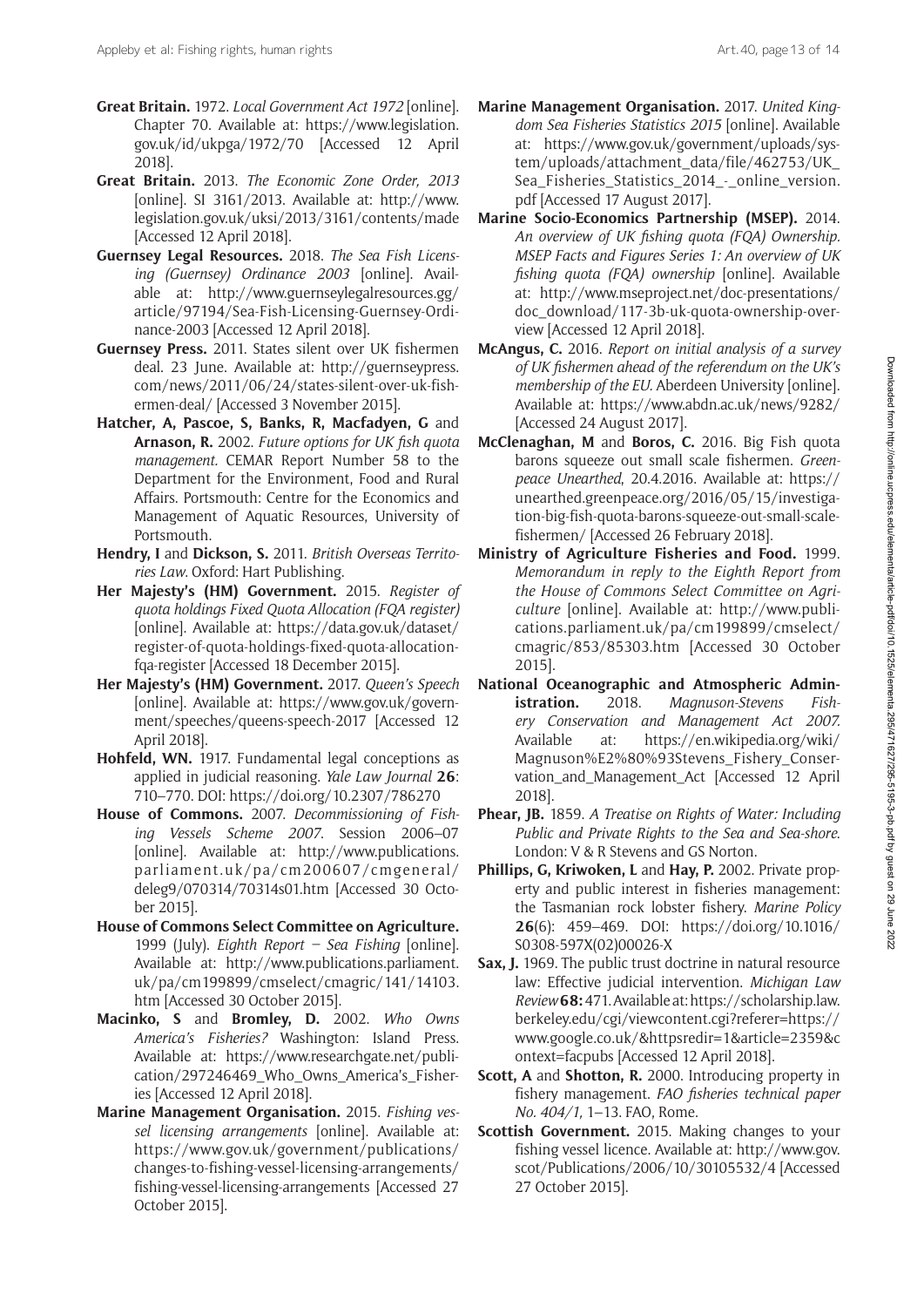- **Great Britain.** 1972. *Local Government Act 1972* [online]. Chapter 70. Available at: [https://www.legislation.](https://www.legislation.gov.uk/id/ukpga/1972/70) [gov.uk/id/ukpga/1972/70](https://www.legislation.gov.uk/id/ukpga/1972/70) [Accessed 12 April 2018].
- **Great Britain.** 2013. *The Economic Zone Order, 2013* [online]. SI 3161/2013. Available at: [http://www.](http://www.legislation.gov.uk/uksi/2013/3161/contents/made) [legislation.gov.uk/uksi/2013/3161/contents/made](http://www.legislation.gov.uk/uksi/2013/3161/contents/made) [Accessed 12 April 2018].
- **Guernsey Legal Resources.** 2018. *The Sea Fish Licensing (Guernsey) Ordinance 2003* [online]. Available at: [http://www.guernseylegalresources.gg/](http://www.guernseylegalresources.gg/article/97194/Sea-Fish-Licensing-Guernsey-Ordinance-2003) [article/97194/Sea-Fish-Licensing-Guernsey-Ordi](http://www.guernseylegalresources.gg/article/97194/Sea-Fish-Licensing-Guernsey-Ordinance-2003)[nance-2003](http://www.guernseylegalresources.gg/article/97194/Sea-Fish-Licensing-Guernsey-Ordinance-2003) [Accessed 12 April 2018].
- **Guernsey Press.** 2011. States silent over UK fishermen deal. 23 June. Available at: [http://guernseypress.](http://guernseypress.com/news/2011/06/24/states-silent-over-uk-fishermen-deal/) [com/news/2011/06/24/states-silent-over-uk-fish](http://guernseypress.com/news/2011/06/24/states-silent-over-uk-fishermen-deal/)[ermen-deal/](http://guernseypress.com/news/2011/06/24/states-silent-over-uk-fishermen-deal/) [Accessed 3 November 2015].
- **Hatcher, A, Pascoe, S, Banks, R, Macfadyen, G** and **Arnason, R.** 2002. *Future options for UK fish quota management.* CEMAR Report Number 58 to the Department for the Environment, Food and Rural Affairs. Portsmouth: Centre for the Economics and Management of Aquatic Resources, University of Portsmouth.
- **Hendry, I** and **Dickson, S.** 2011. *British Overseas Territories Law*. Oxford: Hart Publishing.
- **Her Majesty's (HM) Government.** 2015. *Register of quota holdings Fixed Quota Allocation (FQA register)* [online]. Available at: [https://data.gov.uk/dataset/](https://data.gov.uk/dataset/register-of-quota-holdings-fixed-quota-allocation-fqa-register) [register-of-quota-holdings-fixed-quota-allocation](https://data.gov.uk/dataset/register-of-quota-holdings-fixed-quota-allocation-fqa-register)[fqa-register](https://data.gov.uk/dataset/register-of-quota-holdings-fixed-quota-allocation-fqa-register) [Accessed 18 December 2015].
- **Her Majesty's (HM) Government.** 2017. *Queen's Speech*  [online]. Available at: [https://www.gov.uk/govern](https://www.gov.uk/government/speeches/queens-speech-2017)[ment/speeches/queens-speech-2017](https://www.gov.uk/government/speeches/queens-speech-2017) [Accessed 12 April 2018].
- **Hohfeld, WN.** 1917. Fundamental legal conceptions as applied in judicial reasoning. *Yale Law Journal* **26**: 710–770. DOI: <https://doi.org/10.2307/786270>
- **House of Commons.** 2007. *Decommissioning of Fishing Vessels Scheme 2007*. Session 2006–07 [online]. Available at: [http://www.publications.](http://www.publications.parliament.uk/pa/cm200607/cmgeneral/deleg9/070314/70314s01.htm) [parliament.uk/pa/cm200607/cmgeneral/](http://www.publications.parliament.uk/pa/cm200607/cmgeneral/deleg9/070314/70314s01.htm) [deleg9/070314/70314s01.htm](http://www.publications.parliament.uk/pa/cm200607/cmgeneral/deleg9/070314/70314s01.htm) [Accessed 30 October 2015].
- **House of Commons Select Committee on Agriculture.** 1999 (July). *Eighth Report – Sea Fishing* [online]. Available at: [http://www.publications.parliament.](http://www.publications.parliament.uk/pa/cm199899/cmselect/cmagric/141/14103.htm) [uk/pa/cm199899/cmselect/cmagric/141/14103.](http://www.publications.parliament.uk/pa/cm199899/cmselect/cmagric/141/14103.htm) [htm](http://www.publications.parliament.uk/pa/cm199899/cmselect/cmagric/141/14103.htm) [Accessed 30 October 2015].
- **Macinko, S** and **Bromley, D.** 2002. *Who Owns America's Fisheries?* Washington: Island Press. Available at: [https://www.researchgate.net/publi](https://www.researchgate.net/publication/297246469_Who_Owns_America’s_Fisheries)[cation/297246469\\_Who\\_Owns\\_America's\\_Fisher](https://www.researchgate.net/publication/297246469_Who_Owns_America’s_Fisheries)[ies](https://www.researchgate.net/publication/297246469_Who_Owns_America’s_Fisheries) [Accessed 12 April 2018].
- **Marine Management Organisation.** 2015. *Fishing vessel licensing arrangements* [online]. Available at: [https://www.gov.uk/government/publications/](https://www.gov.uk/government/publications/changes-to-fishing-vessel-licensing-arrangements/fishing-vessel-licensing-arrangements) [changes-to-fishing-vessel-licensing-arrangements/](https://www.gov.uk/government/publications/changes-to-fishing-vessel-licensing-arrangements/fishing-vessel-licensing-arrangements) [fishing-vessel-licensing-arrangements](https://www.gov.uk/government/publications/changes-to-fishing-vessel-licensing-arrangements/fishing-vessel-licensing-arrangements) [Accessed 27 October 2015].
- **Marine Management Organisation.** 2017. *United Kingdom Sea Fisheries Statistics 2015* [online]. Available at: [https://www.gov.uk/government/uploads/sys](https://www.gov.uk/government/uploads/system/uploads/attachment_data/file/462753/UK_Sea_Fisheries_Statistics_2014_-_online_version.pdf)[tem/uploads/attachment\\_data/file/462753/UK\\_](https://www.gov.uk/government/uploads/system/uploads/attachment_data/file/462753/UK_Sea_Fisheries_Statistics_2014_-_online_version.pdf) Sea Fisheries Statistics 2014 - online version. [pdf](https://www.gov.uk/government/uploads/system/uploads/attachment_data/file/462753/UK_Sea_Fisheries_Statistics_2014_-_online_version.pdf) [Accessed 17 August 2017].
- **Marine Socio-Economics Partnership (MSEP).** 2014. *An overview of UK fishing quota (FQA) Ownership. MSEP Facts and Figures Series 1: An overview of UK fishing quota (FQA) ownership* [online]. Available at: [http://www.mseproject.net/doc-presentations/](http://www.mseproject.net/doc-presentations/doc_download/117-3b-uk-quota-ownership-overview) [doc\\_download/117-3b-uk-quota-ownership-over](http://www.mseproject.net/doc-presentations/doc_download/117-3b-uk-quota-ownership-overview)[view](http://www.mseproject.net/doc-presentations/doc_download/117-3b-uk-quota-ownership-overview) [Accessed 12 April 2018].
- **McAngus, C.** 2016. *Report on initial analysis of a survey of UK fishermen ahead of the referendum on the UK's membership of the EU.* Aberdeen University [online]. Available at: <https://www.abdn.ac.uk/news/9282/> [Accessed 24 August 2017].
- **McClenaghan, M** and **Boros, C.** 2016. Big Fish quota barons squeeze out small scale fishermen. *Greenpeace Unearthed*, 20.4.2016. Available at: [https://](https://unearthed.greenpeace.org/2016/05/15/investigation-big-fish-quota-barons-squeeze-out-small-scale-fishermen/) [unearthed.greenpeace.org/2016/05/15/investiga](https://unearthed.greenpeace.org/2016/05/15/investigation-big-fish-quota-barons-squeeze-out-small-scale-fishermen/)[tion-big-fish-quota-barons-squeeze-out-small-scale](https://unearthed.greenpeace.org/2016/05/15/investigation-big-fish-quota-barons-squeeze-out-small-scale-fishermen/)[fishermen/](https://unearthed.greenpeace.org/2016/05/15/investigation-big-fish-quota-barons-squeeze-out-small-scale-fishermen/) [Accessed 26 February 2018].
- **Ministry of Agriculture Fisheries and Food.** 1999. *Memorandum in reply to the Eighth Report from the House of Commons Select Committee on Agriculture* [online]. Available at: [http://www.publi](http://www.publications.parliament.uk/pa/cm199899/cmselect/cmagric/853/85303.htm)[cations.parliament.uk/pa/cm199899/cmselect/](http://www.publications.parliament.uk/pa/cm199899/cmselect/cmagric/853/85303.htm) [cmagric/853/85303.htm](http://www.publications.parliament.uk/pa/cm199899/cmselect/cmagric/853/85303.htm) [Accessed 30 October 2015].
- **National Oceanographic and Atmospheric Administration.** 2018. *Magnuson-Stevens Fishery Conservation and Management Act 2007.* Available at: [https://en.wikipedia.org/wiki/](https://en.wikipedia.org/wiki/Magnuson%E2%80%93Stevens_Fishery_Conservation_and_Management_Act) [Magnuson%E2%80%93Stevens\\_Fishery\\_Conser](https://en.wikipedia.org/wiki/Magnuson%E2%80%93Stevens_Fishery_Conservation_and_Management_Act)[vation\\_and\\_Management\\_Act](https://en.wikipedia.org/wiki/Magnuson%E2%80%93Stevens_Fishery_Conservation_and_Management_Act) [Accessed 12 April 2018].
- **Phear, JB.** 1859. *A Treatise on Rights of Water: Including Public and Private Rights to the Sea and Sea-shore*. London: V & R Stevens and GS Norton.
- **Phillips, G, Kriwoken, L** and **Hay, P.** 2002. Private property and public interest in fisheries management: the Tasmanian rock lobster fishery. *Marine Policy* **26**(6): 459–469. DOI: [https://doi.org/10.1016/](https://doi.org/10.1016/S0308-597X(02)00026-X) [S0308-597X\(02\)00026-X](https://doi.org/10.1016/S0308-597X(02)00026-X)
- **Sax, J.** 1969. The public trust doctrine in natural resource law: Effective judicial intervention. *Michigan Law Review* **68:** 471. Available at: [https://scholarship.law.](https://scholarship.law.berkeley.edu/cgi/viewcontent.cgi?referer=https://www.google.co.uk/&httpsredir=1&article=2359&context=facpubs) [berkeley.edu/cgi/viewcontent.cgi?referer=https://](https://scholarship.law.berkeley.edu/cgi/viewcontent.cgi?referer=https://www.google.co.uk/&httpsredir=1&article=2359&context=facpubs) [www.google.co.uk/&httpsredir=1&article=2359&c](https://scholarship.law.berkeley.edu/cgi/viewcontent.cgi?referer=https://www.google.co.uk/&httpsredir=1&article=2359&context=facpubs) [ontext=facpubs](https://scholarship.law.berkeley.edu/cgi/viewcontent.cgi?referer=https://www.google.co.uk/&httpsredir=1&article=2359&context=facpubs) [Accessed 12 April 2018].
- **Scott, A** and **Shotton, R.** 2000. Introducing property in fishery management. *FAO fisheries technical paper No. 404/1,* 1–13. FAO, Rome.
- **Scottish Government.** 2015. Making changes to your fishing vessel licence. Available at: [http://www.gov.](http://www.gov.scot/Publications/2006/10/30105532/4) [scot/Publications/2006/10/30105532/4](http://www.gov.scot/Publications/2006/10/30105532/4) [Accessed 27 October 2015].